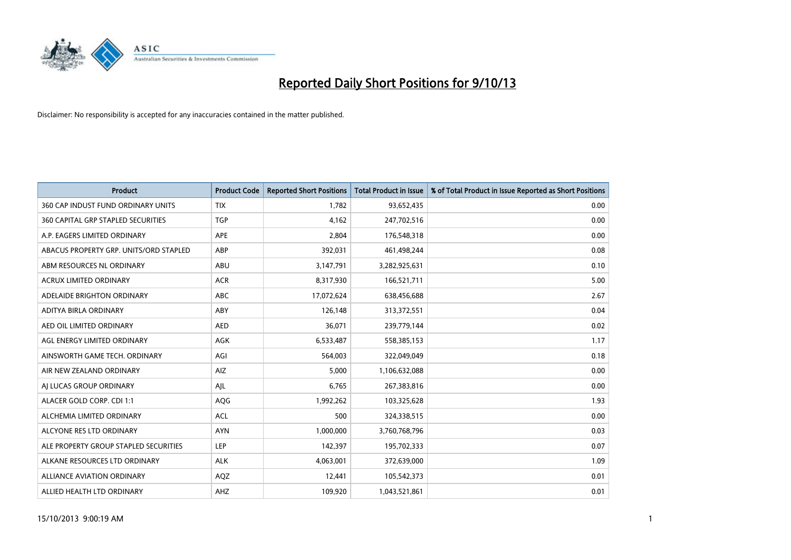

| <b>Product</b>                         | <b>Product Code</b> | <b>Reported Short Positions</b> | <b>Total Product in Issue</b> | % of Total Product in Issue Reported as Short Positions |
|----------------------------------------|---------------------|---------------------------------|-------------------------------|---------------------------------------------------------|
| 360 CAP INDUST FUND ORDINARY UNITS     | <b>TIX</b>          | 1,782                           | 93,652,435                    | 0.00                                                    |
| 360 CAPITAL GRP STAPLED SECURITIES     | <b>TGP</b>          | 4,162                           | 247,702,516                   | 0.00                                                    |
| A.P. EAGERS LIMITED ORDINARY           | <b>APE</b>          | 2,804                           | 176,548,318                   | 0.00                                                    |
| ABACUS PROPERTY GRP. UNITS/ORD STAPLED | ABP                 | 392,031                         | 461,498,244                   | 0.08                                                    |
| ABM RESOURCES NL ORDINARY              | ABU                 | 3,147,791                       | 3,282,925,631                 | 0.10                                                    |
| <b>ACRUX LIMITED ORDINARY</b>          | <b>ACR</b>          | 8,317,930                       | 166,521,711                   | 5.00                                                    |
| ADELAIDE BRIGHTON ORDINARY             | <b>ABC</b>          | 17,072,624                      | 638,456,688                   | 2.67                                                    |
| ADITYA BIRLA ORDINARY                  | ABY                 | 126,148                         | 313,372,551                   | 0.04                                                    |
| AED OIL LIMITED ORDINARY               | <b>AED</b>          | 36,071                          | 239,779,144                   | 0.02                                                    |
| AGL ENERGY LIMITED ORDINARY            | <b>AGK</b>          | 6,533,487                       | 558,385,153                   | 1.17                                                    |
| AINSWORTH GAME TECH. ORDINARY          | AGI                 | 564,003                         | 322,049,049                   | 0.18                                                    |
| AIR NEW ZEALAND ORDINARY               | AIZ                 | 5,000                           | 1,106,632,088                 | 0.00                                                    |
| AI LUCAS GROUP ORDINARY                | AJL                 | 6,765                           | 267,383,816                   | 0.00                                                    |
| ALACER GOLD CORP. CDI 1:1              | AQG                 | 1,992,262                       | 103,325,628                   | 1.93                                                    |
| ALCHEMIA LIMITED ORDINARY              | <b>ACL</b>          | 500                             | 324,338,515                   | 0.00                                                    |
| ALCYONE RES LTD ORDINARY               | <b>AYN</b>          | 1,000,000                       | 3,760,768,796                 | 0.03                                                    |
| ALE PROPERTY GROUP STAPLED SECURITIES  | LEP                 | 142,397                         | 195,702,333                   | 0.07                                                    |
| ALKANE RESOURCES LTD ORDINARY          | <b>ALK</b>          | 4,063,001                       | 372,639,000                   | 1.09                                                    |
| <b>ALLIANCE AVIATION ORDINARY</b>      | AQZ                 | 12,441                          | 105,542,373                   | 0.01                                                    |
| ALLIED HEALTH LTD ORDINARY             | AHZ                 | 109,920                         | 1,043,521,861                 | 0.01                                                    |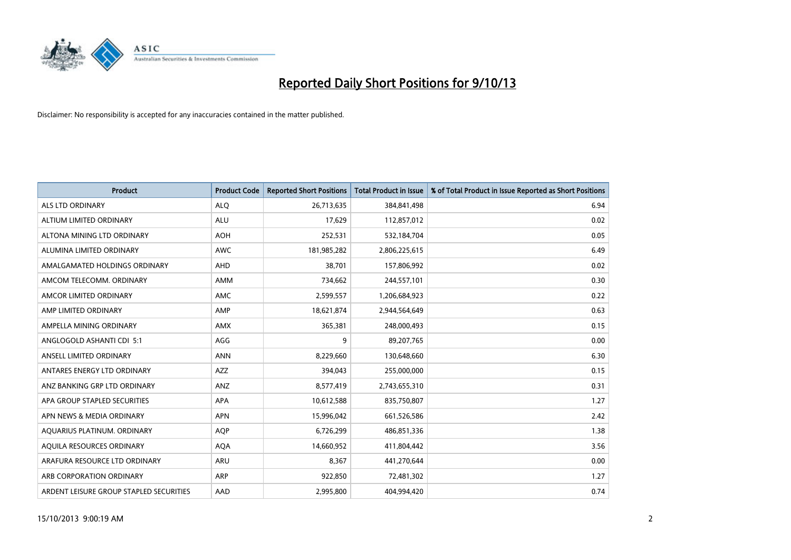

| <b>Product</b>                          | <b>Product Code</b> | <b>Reported Short Positions</b> | <b>Total Product in Issue</b> | % of Total Product in Issue Reported as Short Positions |
|-----------------------------------------|---------------------|---------------------------------|-------------------------------|---------------------------------------------------------|
| <b>ALS LTD ORDINARY</b>                 | <b>ALQ</b>          | 26,713,635                      | 384,841,498                   | 6.94                                                    |
| ALTIUM LIMITED ORDINARY                 | ALU                 | 17,629                          | 112,857,012                   | 0.02                                                    |
| ALTONA MINING LTD ORDINARY              | <b>AOH</b>          | 252,531                         | 532,184,704                   | 0.05                                                    |
| ALUMINA LIMITED ORDINARY                | <b>AWC</b>          | 181,985,282                     | 2,806,225,615                 | 6.49                                                    |
| AMALGAMATED HOLDINGS ORDINARY           | AHD                 | 38,701                          | 157,806,992                   | 0.02                                                    |
| AMCOM TELECOMM. ORDINARY                | AMM                 | 734,662                         | 244,557,101                   | 0.30                                                    |
| AMCOR LIMITED ORDINARY                  | <b>AMC</b>          | 2,599,557                       | 1,206,684,923                 | 0.22                                                    |
| AMP LIMITED ORDINARY                    | AMP                 | 18,621,874                      | 2,944,564,649                 | 0.63                                                    |
| AMPELLA MINING ORDINARY                 | <b>AMX</b>          | 365,381                         | 248,000,493                   | 0.15                                                    |
| ANGLOGOLD ASHANTI CDI 5:1               | AGG                 | 9                               | 89,207,765                    | 0.00                                                    |
| ANSELL LIMITED ORDINARY                 | <b>ANN</b>          | 8,229,660                       | 130,648,660                   | 6.30                                                    |
| ANTARES ENERGY LTD ORDINARY             | AZZ                 | 394,043                         | 255,000,000                   | 0.15                                                    |
| ANZ BANKING GRP LTD ORDINARY            | ANZ                 | 8,577,419                       | 2,743,655,310                 | 0.31                                                    |
| APA GROUP STAPLED SECURITIES            | <b>APA</b>          | 10,612,588                      | 835,750,807                   | 1.27                                                    |
| APN NEWS & MEDIA ORDINARY               | <b>APN</b>          | 15,996,042                      | 661,526,586                   | 2.42                                                    |
| AQUARIUS PLATINUM. ORDINARY             | AQP                 | 6,726,299                       | 486,851,336                   | 1.38                                                    |
| AQUILA RESOURCES ORDINARY               | <b>AQA</b>          | 14,660,952                      | 411,804,442                   | 3.56                                                    |
| ARAFURA RESOURCE LTD ORDINARY           | <b>ARU</b>          | 8,367                           | 441,270,644                   | 0.00                                                    |
| ARB CORPORATION ORDINARY                | ARP                 | 922,850                         | 72,481,302                    | 1.27                                                    |
| ARDENT LEISURE GROUP STAPLED SECURITIES | AAD                 | 2,995,800                       | 404.994.420                   | 0.74                                                    |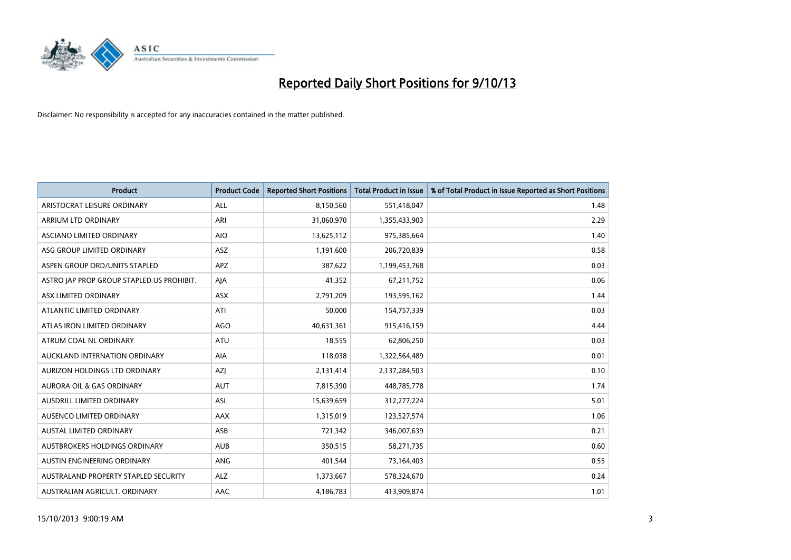

| <b>Product</b>                            | <b>Product Code</b> | <b>Reported Short Positions</b> | <b>Total Product in Issue</b> | % of Total Product in Issue Reported as Short Positions |
|-------------------------------------------|---------------------|---------------------------------|-------------------------------|---------------------------------------------------------|
| ARISTOCRAT LEISURE ORDINARY               | ALL                 | 8,150,560                       | 551,418,047                   | 1.48                                                    |
| ARRIUM LTD ORDINARY                       | ARI                 | 31,060,970                      | 1,355,433,903                 | 2.29                                                    |
| ASCIANO LIMITED ORDINARY                  | <b>AIO</b>          | 13,625,112                      | 975,385,664                   | 1.40                                                    |
| ASG GROUP LIMITED ORDINARY                | ASZ                 | 1,191,600                       | 206,720,839                   | 0.58                                                    |
| ASPEN GROUP ORD/UNITS STAPLED             | <b>APZ</b>          | 387,622                         | 1,199,453,768                 | 0.03                                                    |
| ASTRO JAP PROP GROUP STAPLED US PROHIBIT. | AJA                 | 41,352                          | 67,211,752                    | 0.06                                                    |
| ASX LIMITED ORDINARY                      | ASX                 | 2,791,209                       | 193,595,162                   | 1.44                                                    |
| ATLANTIC LIMITED ORDINARY                 | ATI                 | 50,000                          | 154,757,339                   | 0.03                                                    |
| ATLAS IRON LIMITED ORDINARY               | AGO                 | 40,631,361                      | 915,416,159                   | 4.44                                                    |
| ATRUM COAL NL ORDINARY                    | <b>ATU</b>          | 18,555                          | 62,806,250                    | 0.03                                                    |
| AUCKLAND INTERNATION ORDINARY             | AIA                 | 118,038                         | 1,322,564,489                 | 0.01                                                    |
| AURIZON HOLDINGS LTD ORDINARY             | AZJ                 | 2,131,414                       | 2,137,284,503                 | 0.10                                                    |
| <b>AURORA OIL &amp; GAS ORDINARY</b>      | <b>AUT</b>          | 7,815,390                       | 448,785,778                   | 1.74                                                    |
| AUSDRILL LIMITED ORDINARY                 | ASL                 | 15,639,659                      | 312,277,224                   | 5.01                                                    |
| AUSENCO LIMITED ORDINARY                  | AAX                 | 1,315,019                       | 123,527,574                   | 1.06                                                    |
| AUSTAL LIMITED ORDINARY                   | ASB                 | 721,342                         | 346,007,639                   | 0.21                                                    |
| AUSTBROKERS HOLDINGS ORDINARY             | <b>AUB</b>          | 350,515                         | 58,271,735                    | 0.60                                                    |
| AUSTIN ENGINEERING ORDINARY               | <b>ANG</b>          | 401,544                         | 73,164,403                    | 0.55                                                    |
| AUSTRALAND PROPERTY STAPLED SECURITY      | <b>ALZ</b>          | 1,373,667                       | 578,324,670                   | 0.24                                                    |
| AUSTRALIAN AGRICULT. ORDINARY             | AAC                 | 4,186,783                       | 413,909,874                   | 1.01                                                    |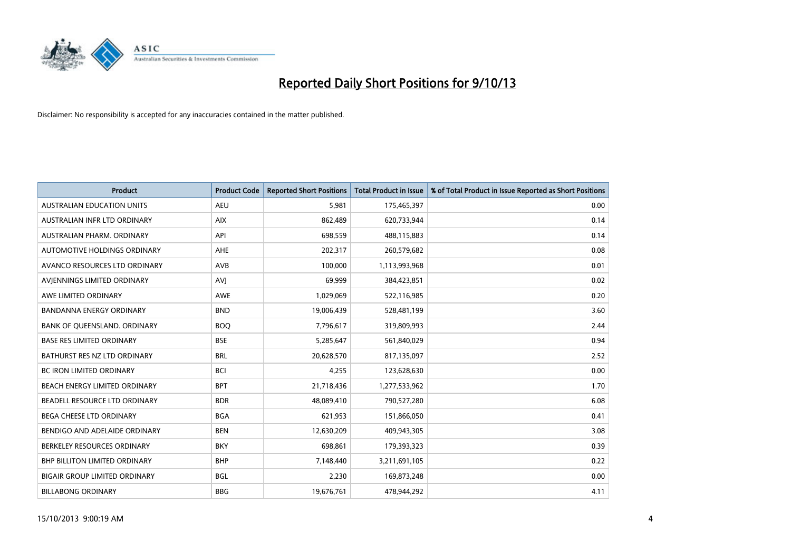

| <b>Product</b>                       | <b>Product Code</b> | <b>Reported Short Positions</b> | <b>Total Product in Issue</b> | % of Total Product in Issue Reported as Short Positions |
|--------------------------------------|---------------------|---------------------------------|-------------------------------|---------------------------------------------------------|
| <b>AUSTRALIAN EDUCATION UNITS</b>    | <b>AEU</b>          | 5.981                           | 175,465,397                   | 0.00                                                    |
| AUSTRALIAN INFR LTD ORDINARY         | <b>AIX</b>          | 862,489                         | 620,733,944                   | 0.14                                                    |
| AUSTRALIAN PHARM, ORDINARY           | API                 | 698,559                         | 488,115,883                   | 0.14                                                    |
| AUTOMOTIVE HOLDINGS ORDINARY         | <b>AHE</b>          | 202,317                         | 260,579,682                   | 0.08                                                    |
| AVANCO RESOURCES LTD ORDINARY        | AVB                 | 100,000                         | 1,113,993,968                 | 0.01                                                    |
| AVIENNINGS LIMITED ORDINARY          | <b>AVJ</b>          | 69,999                          | 384,423,851                   | 0.02                                                    |
| AWE LIMITED ORDINARY                 | <b>AWE</b>          | 1,029,069                       | 522,116,985                   | 0.20                                                    |
| <b>BANDANNA ENERGY ORDINARY</b>      | <b>BND</b>          | 19,006,439                      | 528,481,199                   | 3.60                                                    |
| BANK OF QUEENSLAND. ORDINARY         | <b>BOQ</b>          | 7,796,617                       | 319,809,993                   | 2.44                                                    |
| <b>BASE RES LIMITED ORDINARY</b>     | <b>BSE</b>          | 5,285,647                       | 561,840,029                   | 0.94                                                    |
| BATHURST RES NZ LTD ORDINARY         | <b>BRL</b>          | 20,628,570                      | 817,135,097                   | 2.52                                                    |
| <b>BC IRON LIMITED ORDINARY</b>      | <b>BCI</b>          | 4,255                           | 123,628,630                   | 0.00                                                    |
| BEACH ENERGY LIMITED ORDINARY        | <b>BPT</b>          | 21,718,436                      | 1,277,533,962                 | 1.70                                                    |
| BEADELL RESOURCE LTD ORDINARY        | <b>BDR</b>          | 48,089,410                      | 790,527,280                   | 6.08                                                    |
| <b>BEGA CHEESE LTD ORDINARY</b>      | <b>BGA</b>          | 621,953                         | 151,866,050                   | 0.41                                                    |
| BENDIGO AND ADELAIDE ORDINARY        | <b>BEN</b>          | 12,630,209                      | 409,943,305                   | 3.08                                                    |
| BERKELEY RESOURCES ORDINARY          | <b>BKY</b>          | 698,861                         | 179,393,323                   | 0.39                                                    |
| <b>BHP BILLITON LIMITED ORDINARY</b> | <b>BHP</b>          | 7,148,440                       | 3,211,691,105                 | 0.22                                                    |
| <b>BIGAIR GROUP LIMITED ORDINARY</b> | <b>BGL</b>          | 2,230                           | 169,873,248                   | 0.00                                                    |
| <b>BILLABONG ORDINARY</b>            | <b>BBG</b>          | 19,676,761                      | 478,944,292                   | 4.11                                                    |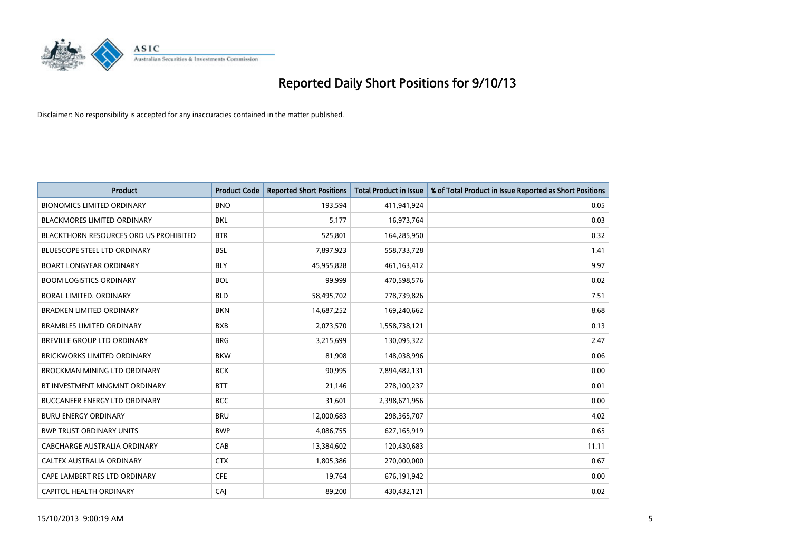

| <b>Product</b>                                | <b>Product Code</b> | <b>Reported Short Positions</b> | <b>Total Product in Issue</b> | % of Total Product in Issue Reported as Short Positions |
|-----------------------------------------------|---------------------|---------------------------------|-------------------------------|---------------------------------------------------------|
| <b>BIONOMICS LIMITED ORDINARY</b>             | <b>BNO</b>          | 193,594                         | 411,941,924                   | 0.05                                                    |
| <b>BLACKMORES LIMITED ORDINARY</b>            | BKL                 | 5,177                           | 16,973,764                    | 0.03                                                    |
| <b>BLACKTHORN RESOURCES ORD US PROHIBITED</b> | <b>BTR</b>          | 525,801                         | 164,285,950                   | 0.32                                                    |
| BLUESCOPE STEEL LTD ORDINARY                  | <b>BSL</b>          | 7,897,923                       | 558,733,728                   | 1.41                                                    |
| <b>BOART LONGYEAR ORDINARY</b>                | <b>BLY</b>          | 45,955,828                      | 461,163,412                   | 9.97                                                    |
| <b>BOOM LOGISTICS ORDINARY</b>                | <b>BOL</b>          | 99,999                          | 470,598,576                   | 0.02                                                    |
| <b>BORAL LIMITED, ORDINARY</b>                | <b>BLD</b>          | 58,495,702                      | 778,739,826                   | 7.51                                                    |
| <b>BRADKEN LIMITED ORDINARY</b>               | <b>BKN</b>          | 14,687,252                      | 169,240,662                   | 8.68                                                    |
| <b>BRAMBLES LIMITED ORDINARY</b>              | <b>BXB</b>          | 2,073,570                       | 1,558,738,121                 | 0.13                                                    |
| BREVILLE GROUP LTD ORDINARY                   | <b>BRG</b>          | 3,215,699                       | 130,095,322                   | 2.47                                                    |
| <b>BRICKWORKS LIMITED ORDINARY</b>            | <b>BKW</b>          | 81,908                          | 148,038,996                   | 0.06                                                    |
| BROCKMAN MINING LTD ORDINARY                  | <b>BCK</b>          | 90,995                          | 7,894,482,131                 | 0.00                                                    |
| BT INVESTMENT MNGMNT ORDINARY                 | <b>BTT</b>          | 21,146                          | 278,100,237                   | 0.01                                                    |
| <b>BUCCANEER ENERGY LTD ORDINARY</b>          | <b>BCC</b>          | 31,601                          | 2,398,671,956                 | 0.00                                                    |
| <b>BURU ENERGY ORDINARY</b>                   | <b>BRU</b>          | 12,000,683                      | 298,365,707                   | 4.02                                                    |
| <b>BWP TRUST ORDINARY UNITS</b>               | <b>BWP</b>          | 4,086,755                       | 627,165,919                   | 0.65                                                    |
| CABCHARGE AUSTRALIA ORDINARY                  | CAB                 | 13,384,602                      | 120,430,683                   | 11.11                                                   |
| CALTEX AUSTRALIA ORDINARY                     | <b>CTX</b>          | 1,805,386                       | 270,000,000                   | 0.67                                                    |
| CAPE LAMBERT RES LTD ORDINARY                 | <b>CFE</b>          | 19,764                          | 676,191,942                   | 0.00                                                    |
| CAPITOL HEALTH ORDINARY                       | CAJ                 | 89,200                          | 430,432,121                   | 0.02                                                    |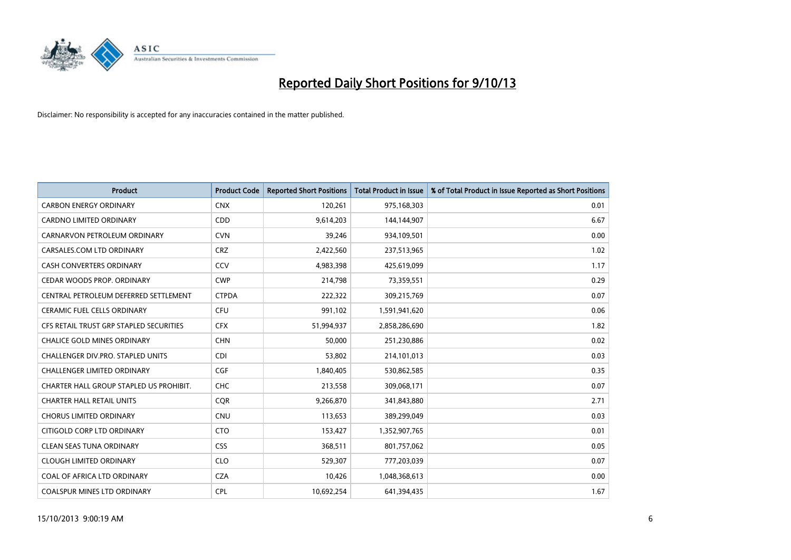

| <b>Product</b>                          | <b>Product Code</b> | <b>Reported Short Positions</b> | <b>Total Product in Issue</b> | % of Total Product in Issue Reported as Short Positions |
|-----------------------------------------|---------------------|---------------------------------|-------------------------------|---------------------------------------------------------|
| <b>CARBON ENERGY ORDINARY</b>           | <b>CNX</b>          | 120,261                         | 975,168,303                   | 0.01                                                    |
| CARDNO LIMITED ORDINARY                 | CDD                 | 9,614,203                       | 144,144,907                   | 6.67                                                    |
| CARNARVON PETROLEUM ORDINARY            | <b>CVN</b>          | 39,246                          | 934,109,501                   | 0.00                                                    |
| CARSALES.COM LTD ORDINARY               | <b>CRZ</b>          | 2,422,560                       | 237,513,965                   | 1.02                                                    |
| <b>CASH CONVERTERS ORDINARY</b>         | CCV                 | 4,983,398                       | 425,619,099                   | 1.17                                                    |
| CEDAR WOODS PROP. ORDINARY              | <b>CWP</b>          | 214,798                         | 73,359,551                    | 0.29                                                    |
| CENTRAL PETROLEUM DEFERRED SETTLEMENT   | <b>CTPDA</b>        | 222,322                         | 309,215,769                   | 0.07                                                    |
| <b>CERAMIC FUEL CELLS ORDINARY</b>      | <b>CFU</b>          | 991,102                         | 1,591,941,620                 | 0.06                                                    |
| CFS RETAIL TRUST GRP STAPLED SECURITIES | <b>CFX</b>          | 51,994,937                      | 2,858,286,690                 | 1.82                                                    |
| <b>CHALICE GOLD MINES ORDINARY</b>      | <b>CHN</b>          | 50,000                          | 251,230,886                   | 0.02                                                    |
| CHALLENGER DIV.PRO. STAPLED UNITS       | <b>CDI</b>          | 53,802                          | 214,101,013                   | 0.03                                                    |
| <b>CHALLENGER LIMITED ORDINARY</b>      | <b>CGF</b>          | 1,840,405                       | 530,862,585                   | 0.35                                                    |
| CHARTER HALL GROUP STAPLED US PROHIBIT. | <b>CHC</b>          | 213,558                         | 309,068,171                   | 0.07                                                    |
| <b>CHARTER HALL RETAIL UNITS</b>        | <b>COR</b>          | 9,266,870                       | 341,843,880                   | 2.71                                                    |
| <b>CHORUS LIMITED ORDINARY</b>          | <b>CNU</b>          | 113,653                         | 389,299,049                   | 0.03                                                    |
| CITIGOLD CORP LTD ORDINARY              | <b>CTO</b>          | 153,427                         | 1,352,907,765                 | 0.01                                                    |
| <b>CLEAN SEAS TUNA ORDINARY</b>         | <b>CSS</b>          | 368,511                         | 801,757,062                   | 0.05                                                    |
| <b>CLOUGH LIMITED ORDINARY</b>          | <b>CLO</b>          | 529,307                         | 777,203,039                   | 0.07                                                    |
| COAL OF AFRICA LTD ORDINARY             | <b>CZA</b>          | 10,426                          | 1,048,368,613                 | 0.00                                                    |
| <b>COALSPUR MINES LTD ORDINARY</b>      | <b>CPL</b>          | 10,692,254                      | 641,394,435                   | 1.67                                                    |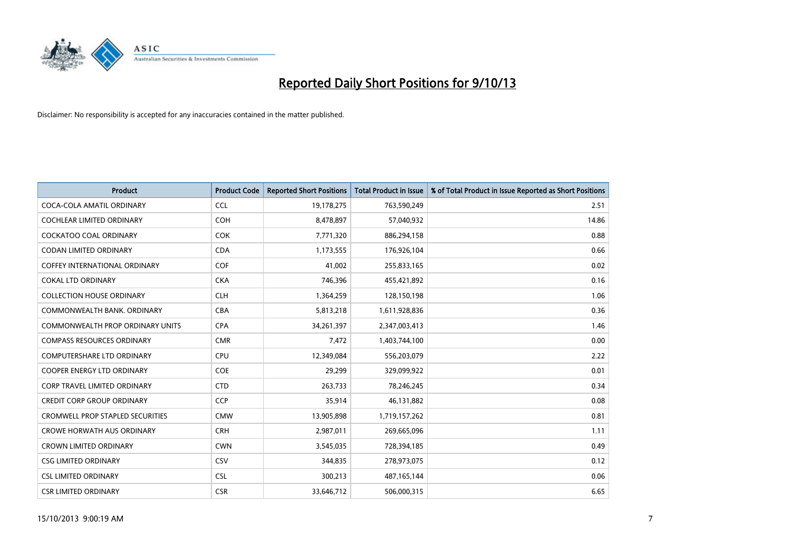

| <b>Product</b>                          | <b>Product Code</b> | <b>Reported Short Positions</b> | <b>Total Product in Issue</b> | % of Total Product in Issue Reported as Short Positions |
|-----------------------------------------|---------------------|---------------------------------|-------------------------------|---------------------------------------------------------|
| COCA-COLA AMATIL ORDINARY               | <b>CCL</b>          | 19,178,275                      | 763,590,249                   | 2.51                                                    |
| COCHLEAR LIMITED ORDINARY               | <b>COH</b>          | 8,478,897                       | 57,040,932                    | 14.86                                                   |
| COCKATOO COAL ORDINARY                  | <b>COK</b>          | 7,771,320                       | 886,294,158                   | 0.88                                                    |
| <b>CODAN LIMITED ORDINARY</b>           | <b>CDA</b>          | 1,173,555                       | 176,926,104                   | 0.66                                                    |
| COFFEY INTERNATIONAL ORDINARY           | <b>COF</b>          | 41,002                          | 255,833,165                   | 0.02                                                    |
| <b>COKAL LTD ORDINARY</b>               | <b>CKA</b>          | 746,396                         | 455,421,892                   | 0.16                                                    |
| <b>COLLECTION HOUSE ORDINARY</b>        | <b>CLH</b>          | 1,364,259                       | 128,150,198                   | 1.06                                                    |
| COMMONWEALTH BANK, ORDINARY             | <b>CBA</b>          | 5,813,218                       | 1,611,928,836                 | 0.36                                                    |
| <b>COMMONWEALTH PROP ORDINARY UNITS</b> | <b>CPA</b>          | 34,261,397                      | 2,347,003,413                 | 1.46                                                    |
| <b>COMPASS RESOURCES ORDINARY</b>       | <b>CMR</b>          | 7,472                           | 1,403,744,100                 | 0.00                                                    |
| COMPUTERSHARE LTD ORDINARY              | <b>CPU</b>          | 12,349,084                      | 556,203,079                   | 2.22                                                    |
| COOPER ENERGY LTD ORDINARY              | <b>COE</b>          | 29,299                          | 329,099,922                   | 0.01                                                    |
| <b>CORP TRAVEL LIMITED ORDINARY</b>     | <b>CTD</b>          | 263,733                         | 78,246,245                    | 0.34                                                    |
| <b>CREDIT CORP GROUP ORDINARY</b>       | <b>CCP</b>          | 35,914                          | 46,131,882                    | 0.08                                                    |
| <b>CROMWELL PROP STAPLED SECURITIES</b> | <b>CMW</b>          | 13,905,898                      | 1,719,157,262                 | 0.81                                                    |
| <b>CROWE HORWATH AUS ORDINARY</b>       | <b>CRH</b>          | 2,987,011                       | 269,665,096                   | 1.11                                                    |
| <b>CROWN LIMITED ORDINARY</b>           | <b>CWN</b>          | 3,545,035                       | 728,394,185                   | 0.49                                                    |
| <b>CSG LIMITED ORDINARY</b>             | CSV                 | 344,835                         | 278,973,075                   | 0.12                                                    |
| <b>CSL LIMITED ORDINARY</b>             | <b>CSL</b>          | 300,213                         | 487, 165, 144                 | 0.06                                                    |
| <b>CSR LIMITED ORDINARY</b>             | <b>CSR</b>          | 33,646,712                      | 506,000,315                   | 6.65                                                    |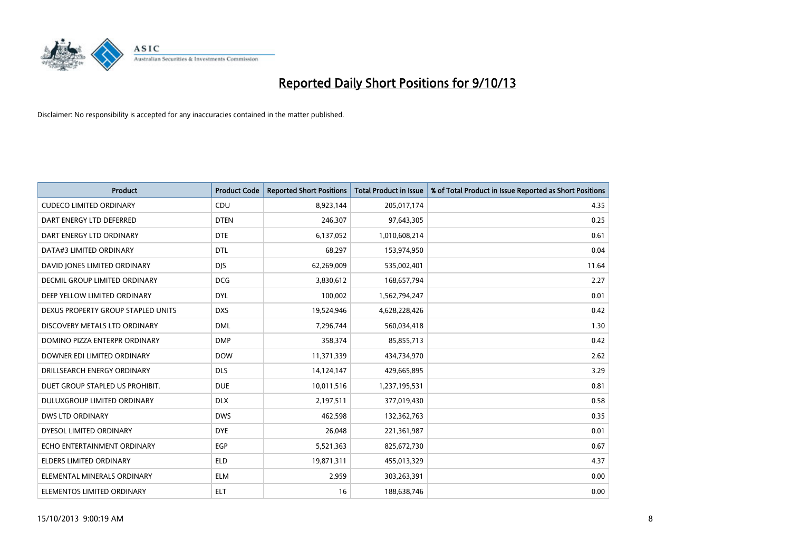

| <b>Product</b>                     | <b>Product Code</b> | <b>Reported Short Positions</b> | <b>Total Product in Issue</b> | % of Total Product in Issue Reported as Short Positions |
|------------------------------------|---------------------|---------------------------------|-------------------------------|---------------------------------------------------------|
| <b>CUDECO LIMITED ORDINARY</b>     | CDU                 | 8,923,144                       | 205,017,174                   | 4.35                                                    |
| DART ENERGY LTD DEFERRED           | <b>DTEN</b>         | 246,307                         | 97,643,305                    | 0.25                                                    |
| DART ENERGY LTD ORDINARY           | <b>DTE</b>          | 6,137,052                       | 1,010,608,214                 | 0.61                                                    |
| DATA#3 LIMITED ORDINARY            | <b>DTL</b>          | 68,297                          | 153,974,950                   | 0.04                                                    |
| DAVID JONES LIMITED ORDINARY       | <b>DIS</b>          | 62,269,009                      | 535,002,401                   | 11.64                                                   |
| DECMIL GROUP LIMITED ORDINARY      | <b>DCG</b>          | 3,830,612                       | 168,657,794                   | 2.27                                                    |
| DEEP YELLOW LIMITED ORDINARY       | <b>DYL</b>          | 100,002                         | 1,562,794,247                 | 0.01                                                    |
| DEXUS PROPERTY GROUP STAPLED UNITS | <b>DXS</b>          | 19,524,946                      | 4,628,228,426                 | 0.42                                                    |
| DISCOVERY METALS LTD ORDINARY      | <b>DML</b>          | 7,296,744                       | 560,034,418                   | 1.30                                                    |
| DOMINO PIZZA ENTERPR ORDINARY      | <b>DMP</b>          | 358,374                         | 85,855,713                    | 0.42                                                    |
| DOWNER EDI LIMITED ORDINARY        | <b>DOW</b>          | 11,371,339                      | 434,734,970                   | 2.62                                                    |
| DRILLSEARCH ENERGY ORDINARY        | <b>DLS</b>          | 14,124,147                      | 429,665,895                   | 3.29                                                    |
| DUET GROUP STAPLED US PROHIBIT.    | <b>DUE</b>          | 10,011,516                      | 1,237,195,531                 | 0.81                                                    |
| DULUXGROUP LIMITED ORDINARY        | <b>DLX</b>          | 2,197,511                       | 377,019,430                   | 0.58                                                    |
| <b>DWS LTD ORDINARY</b>            | <b>DWS</b>          | 462,598                         | 132,362,763                   | 0.35                                                    |
| DYESOL LIMITED ORDINARY            | <b>DYE</b>          | 26,048                          | 221,361,987                   | 0.01                                                    |
| ECHO ENTERTAINMENT ORDINARY        | EGP                 | 5,521,363                       | 825,672,730                   | 0.67                                                    |
| <b>ELDERS LIMITED ORDINARY</b>     | <b>ELD</b>          | 19,871,311                      | 455,013,329                   | 4.37                                                    |
| ELEMENTAL MINERALS ORDINARY        | <b>ELM</b>          | 2,959                           | 303,263,391                   | 0.00                                                    |
| ELEMENTOS LIMITED ORDINARY         | <b>ELT</b>          | 16                              | 188,638,746                   | 0.00                                                    |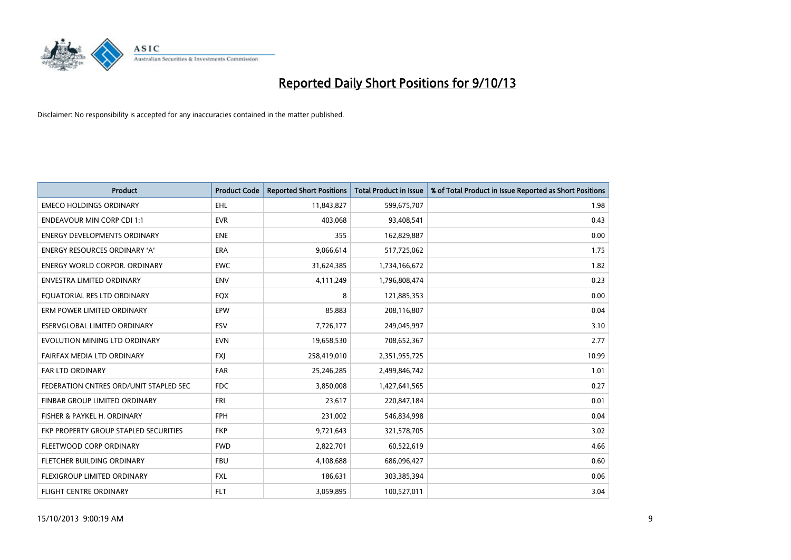

| <b>Product</b>                         | <b>Product Code</b> | <b>Reported Short Positions</b> | <b>Total Product in Issue</b> | % of Total Product in Issue Reported as Short Positions |
|----------------------------------------|---------------------|---------------------------------|-------------------------------|---------------------------------------------------------|
| <b>EMECO HOLDINGS ORDINARY</b>         | <b>EHL</b>          | 11,843,827                      | 599,675,707                   | 1.98                                                    |
| <b>ENDEAVOUR MIN CORP CDI 1:1</b>      | <b>EVR</b>          | 403,068                         | 93,408,541                    | 0.43                                                    |
| <b>ENERGY DEVELOPMENTS ORDINARY</b>    | <b>ENE</b>          | 355                             | 162,829,887                   | 0.00                                                    |
| <b>ENERGY RESOURCES ORDINARY 'A'</b>   | <b>ERA</b>          | 9,066,614                       | 517,725,062                   | 1.75                                                    |
| <b>ENERGY WORLD CORPOR, ORDINARY</b>   | <b>EWC</b>          | 31,624,385                      | 1,734,166,672                 | 1.82                                                    |
| <b>ENVESTRA LIMITED ORDINARY</b>       | <b>ENV</b>          | 4,111,249                       | 1,796,808,474                 | 0.23                                                    |
| EQUATORIAL RES LTD ORDINARY            | EQX                 | 8                               | 121,885,353                   | 0.00                                                    |
| ERM POWER LIMITED ORDINARY             | <b>EPW</b>          | 85,883                          | 208,116,807                   | 0.04                                                    |
| ESERVGLOBAL LIMITED ORDINARY           | ESV                 | 7,726,177                       | 249,045,997                   | 3.10                                                    |
| EVOLUTION MINING LTD ORDINARY          | <b>EVN</b>          | 19,658,530                      | 708,652,367                   | 2.77                                                    |
| FAIRFAX MEDIA LTD ORDINARY             | <b>FXI</b>          | 258,419,010                     | 2,351,955,725                 | 10.99                                                   |
| <b>FAR LTD ORDINARY</b>                | <b>FAR</b>          | 25,246,285                      | 2,499,846,742                 | 1.01                                                    |
| FEDERATION CNTRES ORD/UNIT STAPLED SEC | <b>FDC</b>          | 3,850,008                       | 1,427,641,565                 | 0.27                                                    |
| FINBAR GROUP LIMITED ORDINARY          | <b>FRI</b>          | 23,617                          | 220,847,184                   | 0.01                                                    |
| FISHER & PAYKEL H. ORDINARY            | <b>FPH</b>          | 231,002                         | 546,834,998                   | 0.04                                                    |
| FKP PROPERTY GROUP STAPLED SECURITIES  | <b>FKP</b>          | 9,721,643                       | 321,578,705                   | 3.02                                                    |
| FLEETWOOD CORP ORDINARY                | <b>FWD</b>          | 2,822,701                       | 60,522,619                    | 4.66                                                    |
| FLETCHER BUILDING ORDINARY             | <b>FBU</b>          | 4,108,688                       | 686,096,427                   | 0.60                                                    |
| FLEXIGROUP LIMITED ORDINARY            | <b>FXL</b>          | 186,631                         | 303,385,394                   | 0.06                                                    |
| <b>FLIGHT CENTRE ORDINARY</b>          | <b>FLT</b>          | 3,059,895                       | 100,527,011                   | 3.04                                                    |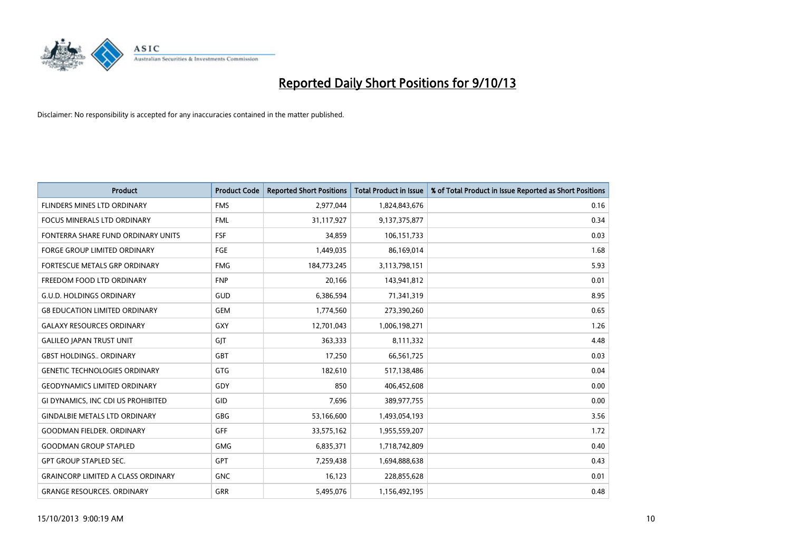

| <b>Product</b>                            | <b>Product Code</b> | <b>Reported Short Positions</b> | <b>Total Product in Issue</b> | % of Total Product in Issue Reported as Short Positions |
|-------------------------------------------|---------------------|---------------------------------|-------------------------------|---------------------------------------------------------|
| FLINDERS MINES LTD ORDINARY               | <b>FMS</b>          | 2,977,044                       | 1,824,843,676                 | 0.16                                                    |
| FOCUS MINERALS LTD ORDINARY               | <b>FML</b>          | 31,117,927                      | 9,137,375,877                 | 0.34                                                    |
| FONTERRA SHARE FUND ORDINARY UNITS        | <b>FSF</b>          | 34,859                          | 106,151,733                   | 0.03                                                    |
| FORGE GROUP LIMITED ORDINARY              | FGE                 | 1,449,035                       | 86,169,014                    | 1.68                                                    |
| FORTESCUE METALS GRP ORDINARY             | <b>FMG</b>          | 184,773,245                     | 3,113,798,151                 | 5.93                                                    |
| FREEDOM FOOD LTD ORDINARY                 | <b>FNP</b>          | 20,166                          | 143,941,812                   | 0.01                                                    |
| <b>G.U.D. HOLDINGS ORDINARY</b>           | GUD                 | 6,386,594                       | 71,341,319                    | 8.95                                                    |
| <b>G8 EDUCATION LIMITED ORDINARY</b>      | <b>GEM</b>          | 1,774,560                       | 273,390,260                   | 0.65                                                    |
| <b>GALAXY RESOURCES ORDINARY</b>          | GXY                 | 12,701,043                      | 1,006,198,271                 | 1.26                                                    |
| <b>GALILEO JAPAN TRUST UNIT</b>           | GJT                 | 363,333                         | 8,111,332                     | 4.48                                                    |
| <b>GBST HOLDINGS ORDINARY</b>             | <b>GBT</b>          | 17,250                          | 66,561,725                    | 0.03                                                    |
| <b>GENETIC TECHNOLOGIES ORDINARY</b>      | GTG                 | 182,610                         | 517,138,486                   | 0.04                                                    |
| <b>GEODYNAMICS LIMITED ORDINARY</b>       | GDY                 | 850                             | 406,452,608                   | 0.00                                                    |
| GI DYNAMICS, INC CDI US PROHIBITED        | GID                 | 7,696                           | 389,977,755                   | 0.00                                                    |
| <b>GINDALBIE METALS LTD ORDINARY</b>      | GBG                 | 53,166,600                      | 1,493,054,193                 | 3.56                                                    |
| <b>GOODMAN FIELDER. ORDINARY</b>          | <b>GFF</b>          | 33,575,162                      | 1,955,559,207                 | 1.72                                                    |
| <b>GOODMAN GROUP STAPLED</b>              | GMG                 | 6,835,371                       | 1,718,742,809                 | 0.40                                                    |
| <b>GPT GROUP STAPLED SEC.</b>             | GPT                 | 7,259,438                       | 1,694,888,638                 | 0.43                                                    |
| <b>GRAINCORP LIMITED A CLASS ORDINARY</b> | <b>GNC</b>          | 16,123                          | 228,855,628                   | 0.01                                                    |
| <b>GRANGE RESOURCES. ORDINARY</b>         | <b>GRR</b>          | 5,495,076                       | 1,156,492,195                 | 0.48                                                    |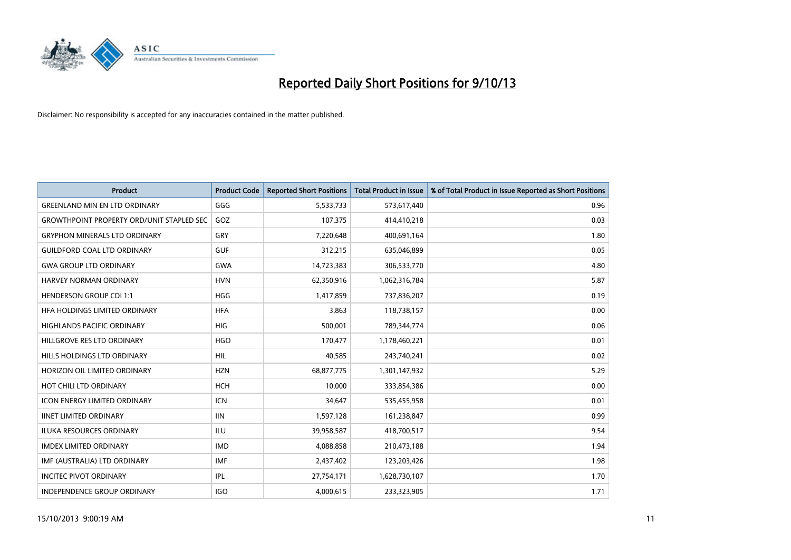

| <b>Product</b>                                   | <b>Product Code</b> | <b>Reported Short Positions</b> | <b>Total Product in Issue</b> | % of Total Product in Issue Reported as Short Positions |
|--------------------------------------------------|---------------------|---------------------------------|-------------------------------|---------------------------------------------------------|
| <b>GREENLAND MIN EN LTD ORDINARY</b>             | GGG                 | 5,533,733                       | 573,617,440                   | 0.96                                                    |
| <b>GROWTHPOINT PROPERTY ORD/UNIT STAPLED SEC</b> | GOZ                 | 107,375                         | 414,410,218                   | 0.03                                                    |
| <b>GRYPHON MINERALS LTD ORDINARY</b>             | GRY                 | 7,220,648                       | 400,691,164                   | 1.80                                                    |
| <b>GUILDFORD COAL LTD ORDINARY</b>               | <b>GUF</b>          | 312,215                         | 635,046,899                   | 0.05                                                    |
| <b>GWA GROUP LTD ORDINARY</b>                    | <b>GWA</b>          | 14,723,383                      | 306,533,770                   | 4.80                                                    |
| HARVEY NORMAN ORDINARY                           | <b>HVN</b>          | 62,350,916                      | 1,062,316,784                 | 5.87                                                    |
| <b>HENDERSON GROUP CDI 1:1</b>                   | <b>HGG</b>          | 1,417,859                       | 737,836,207                   | 0.19                                                    |
| <b>HFA HOLDINGS LIMITED ORDINARY</b>             | <b>HFA</b>          | 3,863                           | 118,738,157                   | 0.00                                                    |
| HIGHLANDS PACIFIC ORDINARY                       | <b>HIG</b>          | 500,001                         | 789,344,774                   | 0.06                                                    |
| HILLGROVE RES LTD ORDINARY                       | <b>HGO</b>          | 170,477                         | 1,178,460,221                 | 0.01                                                    |
| HILLS HOLDINGS LTD ORDINARY                      | <b>HIL</b>          | 40,585                          | 243,740,241                   | 0.02                                                    |
| HORIZON OIL LIMITED ORDINARY                     | <b>HZN</b>          | 68,877,775                      | 1,301,147,932                 | 5.29                                                    |
| HOT CHILI LTD ORDINARY                           | <b>HCH</b>          | 10,000                          | 333,854,386                   | 0.00                                                    |
| <b>ICON ENERGY LIMITED ORDINARY</b>              | <b>ICN</b>          | 34,647                          | 535,455,958                   | 0.01                                                    |
| <b>IINET LIMITED ORDINARY</b>                    | <b>IIN</b>          | 1,597,128                       | 161,238,847                   | 0.99                                                    |
| <b>ILUKA RESOURCES ORDINARY</b>                  | <b>ILU</b>          | 39,958,587                      | 418,700,517                   | 9.54                                                    |
| <b>IMDEX LIMITED ORDINARY</b>                    | <b>IMD</b>          | 4,088,858                       | 210,473,188                   | 1.94                                                    |
| IMF (AUSTRALIA) LTD ORDINARY                     | <b>IMF</b>          | 2,437,402                       | 123,203,426                   | 1.98                                                    |
| <b>INCITEC PIVOT ORDINARY</b>                    | IPL                 | 27,754,171                      | 1,628,730,107                 | 1.70                                                    |
| INDEPENDENCE GROUP ORDINARY                      | <b>IGO</b>          | 4,000,615                       | 233,323,905                   | 1.71                                                    |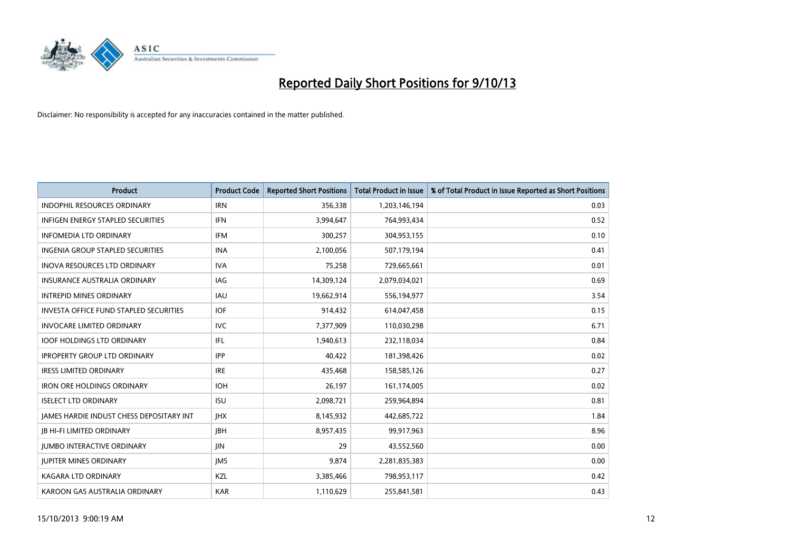

| <b>Product</b>                                | <b>Product Code</b> | <b>Reported Short Positions</b> | <b>Total Product in Issue</b> | % of Total Product in Issue Reported as Short Positions |
|-----------------------------------------------|---------------------|---------------------------------|-------------------------------|---------------------------------------------------------|
| <b>INDOPHIL RESOURCES ORDINARY</b>            | <b>IRN</b>          | 356,338                         | 1,203,146,194                 | 0.03                                                    |
| INFIGEN ENERGY STAPLED SECURITIES             | <b>IFN</b>          | 3,994,647                       | 764,993,434                   | 0.52                                                    |
| <b>INFOMEDIA LTD ORDINARY</b>                 | <b>IFM</b>          | 300,257                         | 304,953,155                   | 0.10                                                    |
| <b>INGENIA GROUP STAPLED SECURITIES</b>       | <b>INA</b>          | 2,100,056                       | 507,179,194                   | 0.41                                                    |
| <b>INOVA RESOURCES LTD ORDINARY</b>           | <b>IVA</b>          | 75,258                          | 729,665,661                   | 0.01                                                    |
| <b>INSURANCE AUSTRALIA ORDINARY</b>           | IAG                 | 14,309,124                      | 2,079,034,021                 | 0.69                                                    |
| <b>INTREPID MINES ORDINARY</b>                | IAU                 | 19,662,914                      | 556,194,977                   | 3.54                                                    |
| <b>INVESTA OFFICE FUND STAPLED SECURITIES</b> | <b>IOF</b>          | 914,432                         | 614,047,458                   | 0.15                                                    |
| <b>INVOCARE LIMITED ORDINARY</b>              | <b>IVC</b>          | 7,377,909                       | 110,030,298                   | 6.71                                                    |
| <b>IOOF HOLDINGS LTD ORDINARY</b>             | IFL                 | 1,940,613                       | 232,118,034                   | 0.84                                                    |
| <b>IPROPERTY GROUP LTD ORDINARY</b>           | <b>IPP</b>          | 40,422                          | 181,398,426                   | 0.02                                                    |
| <b>IRESS LIMITED ORDINARY</b>                 | <b>IRE</b>          | 435,468                         | 158,585,126                   | 0.27                                                    |
| <b>IRON ORE HOLDINGS ORDINARY</b>             | <b>IOH</b>          | 26,197                          | 161,174,005                   | 0.02                                                    |
| <b>ISELECT LTD ORDINARY</b>                   | <b>ISU</b>          | 2,098,721                       | 259,964,894                   | 0.81                                                    |
| JAMES HARDIE INDUST CHESS DEPOSITARY INT      | <b>IHX</b>          | 8,145,932                       | 442,685,722                   | 1.84                                                    |
| <b>JB HI-FI LIMITED ORDINARY</b>              | <b>JBH</b>          | 8,957,435                       | 99,917,963                    | 8.96                                                    |
| <b>JUMBO INTERACTIVE ORDINARY</b>             | JIN                 | 29                              | 43,552,560                    | 0.00                                                    |
| <b>JUPITER MINES ORDINARY</b>                 | <b>IMS</b>          | 9,874                           | 2,281,835,383                 | 0.00                                                    |
| <b>KAGARA LTD ORDINARY</b>                    | KZL                 | 3,385,466                       | 798,953,117                   | 0.42                                                    |
| KAROON GAS AUSTRALIA ORDINARY                 | <b>KAR</b>          | 1,110,629                       | 255,841,581                   | 0.43                                                    |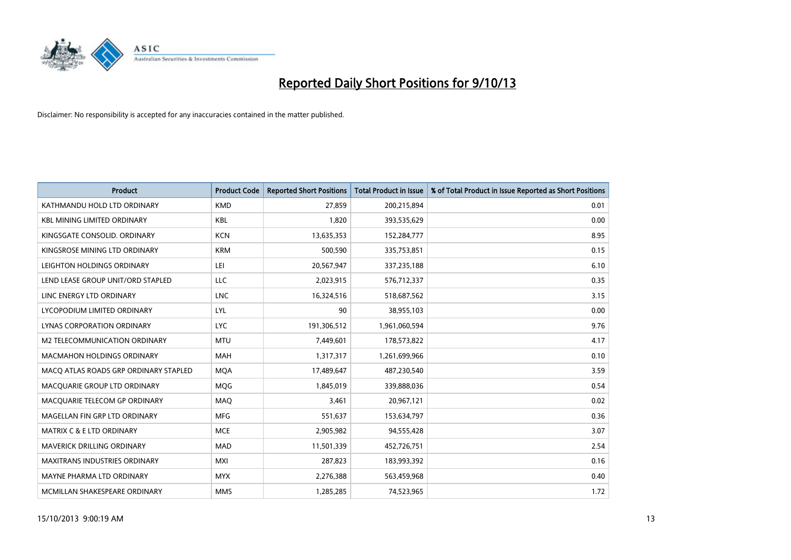

| <b>Product</b>                        | <b>Product Code</b> | <b>Reported Short Positions</b> | <b>Total Product in Issue</b> | % of Total Product in Issue Reported as Short Positions |
|---------------------------------------|---------------------|---------------------------------|-------------------------------|---------------------------------------------------------|
| KATHMANDU HOLD LTD ORDINARY           | <b>KMD</b>          | 27,859                          | 200,215,894                   | 0.01                                                    |
| <b>KBL MINING LIMITED ORDINARY</b>    | <b>KBL</b>          | 1,820                           | 393,535,629                   | 0.00                                                    |
| KINGSGATE CONSOLID. ORDINARY          | <b>KCN</b>          | 13,635,353                      | 152,284,777                   | 8.95                                                    |
| KINGSROSE MINING LTD ORDINARY         | <b>KRM</b>          | 500,590                         | 335,753,851                   | 0.15                                                    |
| LEIGHTON HOLDINGS ORDINARY            | LEI                 | 20,567,947                      | 337,235,188                   | 6.10                                                    |
| LEND LEASE GROUP UNIT/ORD STAPLED     | <b>LLC</b>          | 2,023,915                       | 576,712,337                   | 0.35                                                    |
| LINC ENERGY LTD ORDINARY              | <b>LNC</b>          | 16,324,516                      | 518,687,562                   | 3.15                                                    |
| LYCOPODIUM LIMITED ORDINARY           | LYL                 | 90                              | 38,955,103                    | 0.00                                                    |
| LYNAS CORPORATION ORDINARY            | <b>LYC</b>          | 191,306,512                     | 1,961,060,594                 | 9.76                                                    |
| <b>M2 TELECOMMUNICATION ORDINARY</b>  | <b>MTU</b>          | 7,449,601                       | 178,573,822                   | 4.17                                                    |
| MACMAHON HOLDINGS ORDINARY            | MAH                 | 1,317,317                       | 1,261,699,966                 | 0.10                                                    |
| MACO ATLAS ROADS GRP ORDINARY STAPLED | <b>MQA</b>          | 17,489,647                      | 487,230,540                   | 3.59                                                    |
| MACQUARIE GROUP LTD ORDINARY          | MQG                 | 1,845,019                       | 339,888,036                   | 0.54                                                    |
| MACQUARIE TELECOM GP ORDINARY         | MAQ                 | 3,461                           | 20,967,121                    | 0.02                                                    |
| MAGELLAN FIN GRP LTD ORDINARY         | <b>MFG</b>          | 551,637                         | 153,634,797                   | 0.36                                                    |
| <b>MATRIX C &amp; E LTD ORDINARY</b>  | <b>MCE</b>          | 2,905,982                       | 94,555,428                    | 3.07                                                    |
| MAVERICK DRILLING ORDINARY            | <b>MAD</b>          | 11,501,339                      | 452,726,751                   | 2.54                                                    |
| <b>MAXITRANS INDUSTRIES ORDINARY</b>  | <b>MXI</b>          | 287,823                         | 183,993,392                   | 0.16                                                    |
| MAYNE PHARMA LTD ORDINARY             | <b>MYX</b>          | 2,276,388                       | 563,459,968                   | 0.40                                                    |
| MCMILLAN SHAKESPEARE ORDINARY         | <b>MMS</b>          | 1,285,285                       | 74,523,965                    | 1.72                                                    |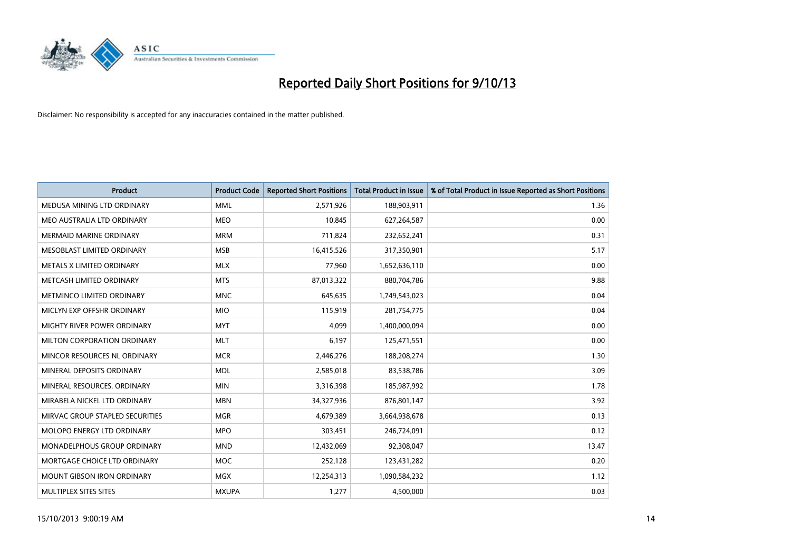

| Product                           | <b>Product Code</b> | <b>Reported Short Positions</b> | <b>Total Product in Issue</b> | % of Total Product in Issue Reported as Short Positions |
|-----------------------------------|---------------------|---------------------------------|-------------------------------|---------------------------------------------------------|
| MEDUSA MINING LTD ORDINARY        | <b>MML</b>          | 2,571,926                       | 188,903,911                   | 1.36                                                    |
| MEO AUSTRALIA LTD ORDINARY        | <b>MEO</b>          | 10.845                          | 627,264,587                   | 0.00                                                    |
| MERMAID MARINE ORDINARY           | <b>MRM</b>          | 711,824                         | 232,652,241                   | 0.31                                                    |
| MESOBLAST LIMITED ORDINARY        | <b>MSB</b>          | 16,415,526                      | 317,350,901                   | 5.17                                                    |
| METALS X LIMITED ORDINARY         | <b>MLX</b>          | 77,960                          | 1,652,636,110                 | 0.00                                                    |
| METCASH LIMITED ORDINARY          | <b>MTS</b>          | 87,013,322                      | 880,704,786                   | 9.88                                                    |
| METMINCO LIMITED ORDINARY         | <b>MNC</b>          | 645,635                         | 1,749,543,023                 | 0.04                                                    |
| MICLYN EXP OFFSHR ORDINARY        | <b>MIO</b>          | 115,919                         | 281,754,775                   | 0.04                                                    |
| MIGHTY RIVER POWER ORDINARY       | <b>MYT</b>          | 4,099                           | 1,400,000,094                 | 0.00                                                    |
| MILTON CORPORATION ORDINARY       | <b>MLT</b>          | 6,197                           | 125,471,551                   | 0.00                                                    |
| MINCOR RESOURCES NL ORDINARY      | <b>MCR</b>          | 2,446,276                       | 188,208,274                   | 1.30                                                    |
| MINERAL DEPOSITS ORDINARY         | <b>MDL</b>          | 2,585,018                       | 83,538,786                    | 3.09                                                    |
| MINERAL RESOURCES. ORDINARY       | <b>MIN</b>          | 3,316,398                       | 185,987,992                   | 1.78                                                    |
| MIRABELA NICKEL LTD ORDINARY      | <b>MBN</b>          | 34,327,936                      | 876,801,147                   | 3.92                                                    |
| MIRVAC GROUP STAPLED SECURITIES   | <b>MGR</b>          | 4,679,389                       | 3,664,938,678                 | 0.13                                                    |
| MOLOPO ENERGY LTD ORDINARY        | <b>MPO</b>          | 303,451                         | 246,724,091                   | 0.12                                                    |
| MONADELPHOUS GROUP ORDINARY       | <b>MND</b>          | 12,432,069                      | 92,308,047                    | 13.47                                                   |
| MORTGAGE CHOICE LTD ORDINARY      | MOC                 | 252,128                         | 123,431,282                   | 0.20                                                    |
| <b>MOUNT GIBSON IRON ORDINARY</b> | <b>MGX</b>          | 12,254,313                      | 1,090,584,232                 | 1.12                                                    |
| MULTIPLEX SITES SITES             | <b>MXUPA</b>        | 1,277                           | 4,500,000                     | 0.03                                                    |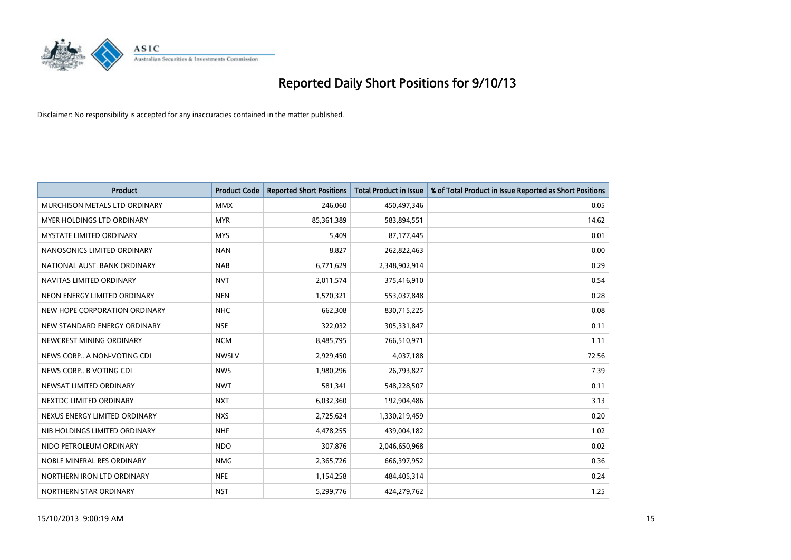

| <b>Product</b>                  | <b>Product Code</b> | <b>Reported Short Positions</b> | <b>Total Product in Issue</b> | % of Total Product in Issue Reported as Short Positions |
|---------------------------------|---------------------|---------------------------------|-------------------------------|---------------------------------------------------------|
| MURCHISON METALS LTD ORDINARY   | <b>MMX</b>          | 246,060                         | 450,497,346                   | 0.05                                                    |
| MYER HOLDINGS LTD ORDINARY      | <b>MYR</b>          | 85,361,389                      | 583,894,551                   | 14.62                                                   |
| <b>MYSTATE LIMITED ORDINARY</b> | <b>MYS</b>          | 5,409                           | 87,177,445                    | 0.01                                                    |
| NANOSONICS LIMITED ORDINARY     | <b>NAN</b>          | 8,827                           | 262,822,463                   | 0.00                                                    |
| NATIONAL AUST. BANK ORDINARY    | <b>NAB</b>          | 6,771,629                       | 2,348,902,914                 | 0.29                                                    |
| NAVITAS LIMITED ORDINARY        | <b>NVT</b>          | 2,011,574                       | 375,416,910                   | 0.54                                                    |
| NEON ENERGY LIMITED ORDINARY    | <b>NEN</b>          | 1,570,321                       | 553,037,848                   | 0.28                                                    |
| NEW HOPE CORPORATION ORDINARY   | <b>NHC</b>          | 662,308                         | 830,715,225                   | 0.08                                                    |
| NEW STANDARD ENERGY ORDINARY    | <b>NSE</b>          | 322,032                         | 305,331,847                   | 0.11                                                    |
| NEWCREST MINING ORDINARY        | <b>NCM</b>          | 8,485,795                       | 766,510,971                   | 1.11                                                    |
| NEWS CORP A NON-VOTING CDI      | <b>NWSLV</b>        | 2,929,450                       | 4,037,188                     | 72.56                                                   |
| NEWS CORP B VOTING CDI          | <b>NWS</b>          | 1,980,296                       | 26,793,827                    | 7.39                                                    |
| NEWSAT LIMITED ORDINARY         | <b>NWT</b>          | 581,341                         | 548,228,507                   | 0.11                                                    |
| NEXTDC LIMITED ORDINARY         | <b>NXT</b>          | 6,032,360                       | 192,904,486                   | 3.13                                                    |
| NEXUS ENERGY LIMITED ORDINARY   | <b>NXS</b>          | 2,725,624                       | 1,330,219,459                 | 0.20                                                    |
| NIB HOLDINGS LIMITED ORDINARY   | <b>NHF</b>          | 4,478,255                       | 439,004,182                   | 1.02                                                    |
| NIDO PETROLEUM ORDINARY         | <b>NDO</b>          | 307,876                         | 2,046,650,968                 | 0.02                                                    |
| NOBLE MINERAL RES ORDINARY      | <b>NMG</b>          | 2,365,726                       | 666,397,952                   | 0.36                                                    |
| NORTHERN IRON LTD ORDINARY      | <b>NFE</b>          | 1,154,258                       | 484,405,314                   | 0.24                                                    |
| NORTHERN STAR ORDINARY          | <b>NST</b>          | 5,299,776                       | 424,279,762                   | 1.25                                                    |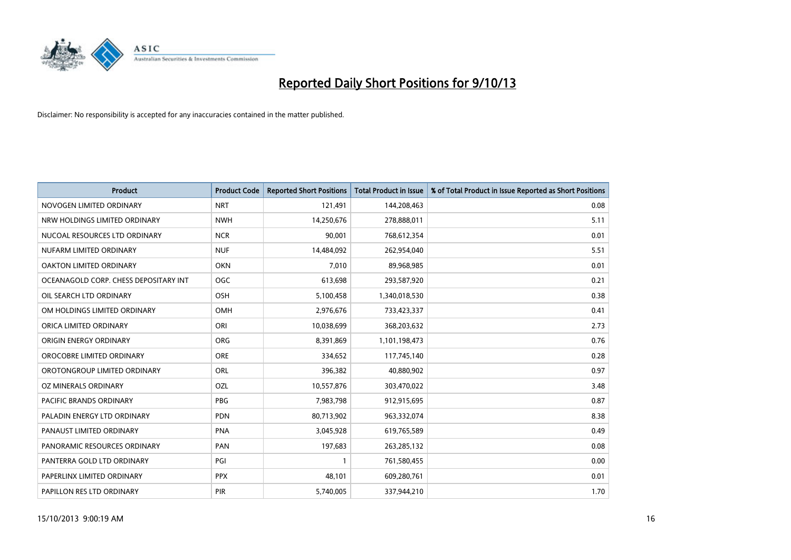

| <b>Product</b>                        | <b>Product Code</b> | <b>Reported Short Positions</b> | <b>Total Product in Issue</b> | % of Total Product in Issue Reported as Short Positions |
|---------------------------------------|---------------------|---------------------------------|-------------------------------|---------------------------------------------------------|
| NOVOGEN LIMITED ORDINARY              | <b>NRT</b>          | 121,491                         | 144,208,463                   | 0.08                                                    |
| NRW HOLDINGS LIMITED ORDINARY         | <b>NWH</b>          | 14,250,676                      | 278,888,011                   | 5.11                                                    |
| NUCOAL RESOURCES LTD ORDINARY         | <b>NCR</b>          | 90,001                          | 768,612,354                   | 0.01                                                    |
| NUFARM LIMITED ORDINARY               | <b>NUF</b>          | 14,484,092                      | 262,954,040                   | 5.51                                                    |
| <b>OAKTON LIMITED ORDINARY</b>        | <b>OKN</b>          | 7,010                           | 89,968,985                    | 0.01                                                    |
| OCEANAGOLD CORP. CHESS DEPOSITARY INT | <b>OGC</b>          | 613,698                         | 293,587,920                   | 0.21                                                    |
| OIL SEARCH LTD ORDINARY               | OSH                 | 5,100,458                       | 1,340,018,530                 | 0.38                                                    |
| OM HOLDINGS LIMITED ORDINARY          | OMH                 | 2,976,676                       | 733,423,337                   | 0.41                                                    |
| ORICA LIMITED ORDINARY                | ORI                 | 10,038,699                      | 368,203,632                   | 2.73                                                    |
| ORIGIN ENERGY ORDINARY                | <b>ORG</b>          | 8,391,869                       | 1,101,198,473                 | 0.76                                                    |
| OROCOBRE LIMITED ORDINARY             | <b>ORE</b>          | 334,652                         | 117,745,140                   | 0.28                                                    |
| OROTONGROUP LIMITED ORDINARY          | <b>ORL</b>          | 396,382                         | 40,880,902                    | 0.97                                                    |
| OZ MINERALS ORDINARY                  | OZL                 | 10,557,876                      | 303,470,022                   | 3.48                                                    |
| <b>PACIFIC BRANDS ORDINARY</b>        | <b>PBG</b>          | 7,983,798                       | 912,915,695                   | 0.87                                                    |
| PALADIN ENERGY LTD ORDINARY           | <b>PDN</b>          | 80,713,902                      | 963,332,074                   | 8.38                                                    |
| PANAUST LIMITED ORDINARY              | <b>PNA</b>          | 3,045,928                       | 619,765,589                   | 0.49                                                    |
| PANORAMIC RESOURCES ORDINARY          | PAN                 | 197,683                         | 263,285,132                   | 0.08                                                    |
| PANTERRA GOLD LTD ORDINARY            | PGI                 | $\mathbf{1}$                    | 761,580,455                   | 0.00                                                    |
| PAPERLINX LIMITED ORDINARY            | <b>PPX</b>          | 48,101                          | 609,280,761                   | 0.01                                                    |
| PAPILLON RES LTD ORDINARY             | <b>PIR</b>          | 5,740,005                       | 337,944,210                   | 1.70                                                    |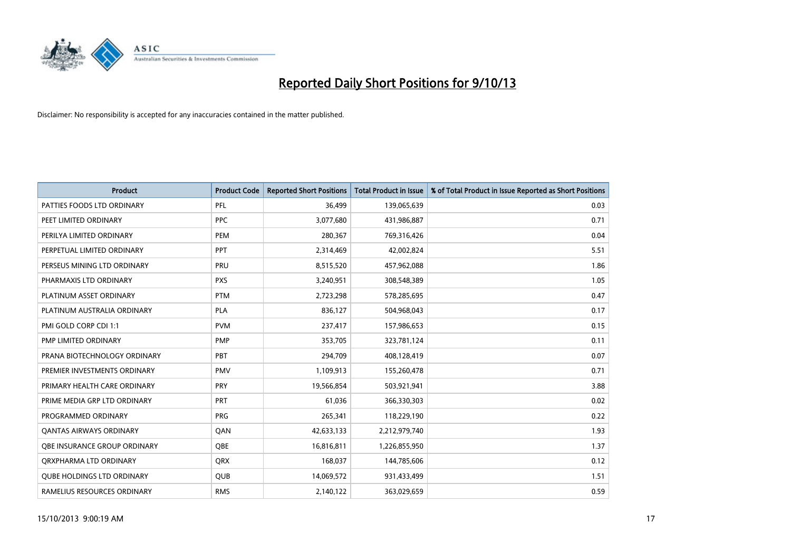

| <b>Product</b>                    | <b>Product Code</b> | <b>Reported Short Positions</b> | <b>Total Product in Issue</b> | % of Total Product in Issue Reported as Short Positions |
|-----------------------------------|---------------------|---------------------------------|-------------------------------|---------------------------------------------------------|
| PATTIES FOODS LTD ORDINARY        | PFL                 | 36,499                          | 139,065,639                   | 0.03                                                    |
| PEET LIMITED ORDINARY             | <b>PPC</b>          | 3,077,680                       | 431,986,887                   | 0.71                                                    |
| PERILYA LIMITED ORDINARY          | <b>PEM</b>          | 280,367                         | 769,316,426                   | 0.04                                                    |
| PERPETUAL LIMITED ORDINARY        | PPT                 | 2,314,469                       | 42,002,824                    | 5.51                                                    |
| PERSEUS MINING LTD ORDINARY       | PRU                 | 8,515,520                       | 457,962,088                   | 1.86                                                    |
| PHARMAXIS LTD ORDINARY            | <b>PXS</b>          | 3,240,951                       | 308,548,389                   | 1.05                                                    |
| PLATINUM ASSET ORDINARY           | <b>PTM</b>          | 2,723,298                       | 578,285,695                   | 0.47                                                    |
| PLATINUM AUSTRALIA ORDINARY       | PLA                 | 836,127                         | 504,968,043                   | 0.17                                                    |
| PMI GOLD CORP CDI 1:1             | <b>PVM</b>          | 237,417                         | 157,986,653                   | 0.15                                                    |
| <b>PMP LIMITED ORDINARY</b>       | <b>PMP</b>          | 353,705                         | 323,781,124                   | 0.11                                                    |
| PRANA BIOTECHNOLOGY ORDINARY      | PBT                 | 294,709                         | 408,128,419                   | 0.07                                                    |
| PREMIER INVESTMENTS ORDINARY      | <b>PMV</b>          | 1,109,913                       | 155,260,478                   | 0.71                                                    |
| PRIMARY HEALTH CARE ORDINARY      | <b>PRY</b>          | 19,566,854                      | 503,921,941                   | 3.88                                                    |
| PRIME MEDIA GRP LTD ORDINARY      | PRT                 | 61,036                          | 366,330,303                   | 0.02                                                    |
| PROGRAMMED ORDINARY               | <b>PRG</b>          | 265,341                         | 118,229,190                   | 0.22                                                    |
| <b>QANTAS AIRWAYS ORDINARY</b>    | QAN                 | 42,633,133                      | 2,212,979,740                 | 1.93                                                    |
| OBE INSURANCE GROUP ORDINARY      | <b>OBE</b>          | 16,816,811                      | 1,226,855,950                 | 1.37                                                    |
| ORXPHARMA LTD ORDINARY            | QRX                 | 168,037                         | 144,785,606                   | 0.12                                                    |
| <b>QUBE HOLDINGS LTD ORDINARY</b> | <b>QUB</b>          | 14,069,572                      | 931,433,499                   | 1.51                                                    |
| RAMELIUS RESOURCES ORDINARY       | <b>RMS</b>          | 2,140,122                       | 363,029,659                   | 0.59                                                    |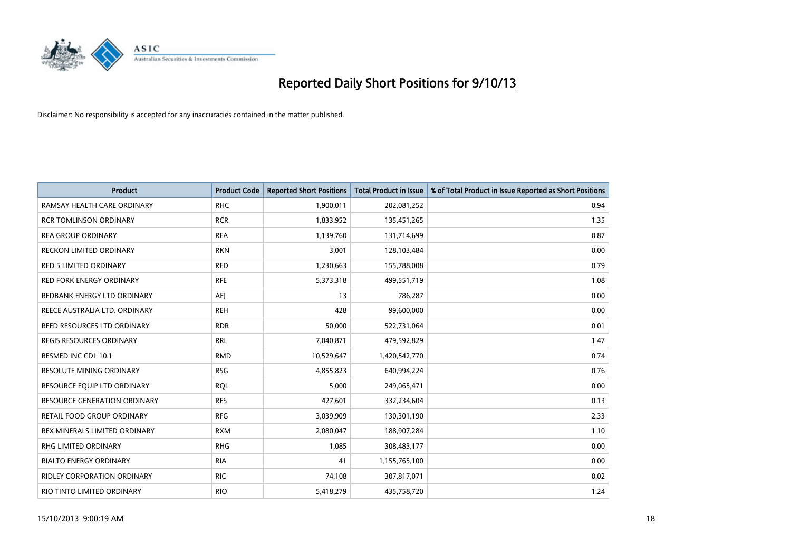

| Product                             | <b>Product Code</b> | <b>Reported Short Positions</b> | <b>Total Product in Issue</b> | % of Total Product in Issue Reported as Short Positions |
|-------------------------------------|---------------------|---------------------------------|-------------------------------|---------------------------------------------------------|
| RAMSAY HEALTH CARE ORDINARY         | <b>RHC</b>          | 1,900,011                       | 202,081,252                   | 0.94                                                    |
| <b>RCR TOMLINSON ORDINARY</b>       | <b>RCR</b>          | 1,833,952                       | 135,451,265                   | 1.35                                                    |
| <b>REA GROUP ORDINARY</b>           | <b>REA</b>          | 1,139,760                       | 131,714,699                   | 0.87                                                    |
| <b>RECKON LIMITED ORDINARY</b>      | <b>RKN</b>          | 3,001                           | 128,103,484                   | 0.00                                                    |
| <b>RED 5 LIMITED ORDINARY</b>       | <b>RED</b>          | 1,230,663                       | 155,788,008                   | 0.79                                                    |
| <b>RED FORK ENERGY ORDINARY</b>     | <b>RFE</b>          | 5,373,318                       | 499,551,719                   | 1.08                                                    |
| REDBANK ENERGY LTD ORDINARY         | <b>AEI</b>          | 13                              | 786,287                       | 0.00                                                    |
| REECE AUSTRALIA LTD. ORDINARY       | <b>REH</b>          | 428                             | 99,600,000                    | 0.00                                                    |
| REED RESOURCES LTD ORDINARY         | <b>RDR</b>          | 50,000                          | 522,731,064                   | 0.01                                                    |
| <b>REGIS RESOURCES ORDINARY</b>     | <b>RRL</b>          | 7,040,871                       | 479,592,829                   | 1.47                                                    |
| RESMED INC CDI 10:1                 | <b>RMD</b>          | 10,529,647                      | 1,420,542,770                 | 0.74                                                    |
| <b>RESOLUTE MINING ORDINARY</b>     | <b>RSG</b>          | 4,855,823                       | 640,994,224                   | 0.76                                                    |
| RESOURCE EQUIP LTD ORDINARY         | <b>RQL</b>          | 5,000                           | 249,065,471                   | 0.00                                                    |
| <b>RESOURCE GENERATION ORDINARY</b> | <b>RES</b>          | 427,601                         | 332,234,604                   | 0.13                                                    |
| RETAIL FOOD GROUP ORDINARY          | <b>RFG</b>          | 3,039,909                       | 130,301,190                   | 2.33                                                    |
| REX MINERALS LIMITED ORDINARY       | <b>RXM</b>          | 2,080,047                       | 188,907,284                   | 1.10                                                    |
| RHG LIMITED ORDINARY                | <b>RHG</b>          | 1,085                           | 308,483,177                   | 0.00                                                    |
| <b>RIALTO ENERGY ORDINARY</b>       | <b>RIA</b>          | 41                              | 1,155,765,100                 | 0.00                                                    |
| <b>RIDLEY CORPORATION ORDINARY</b>  | <b>RIC</b>          | 74,108                          | 307,817,071                   | 0.02                                                    |
| RIO TINTO LIMITED ORDINARY          | <b>RIO</b>          | 5,418,279                       | 435,758,720                   | 1.24                                                    |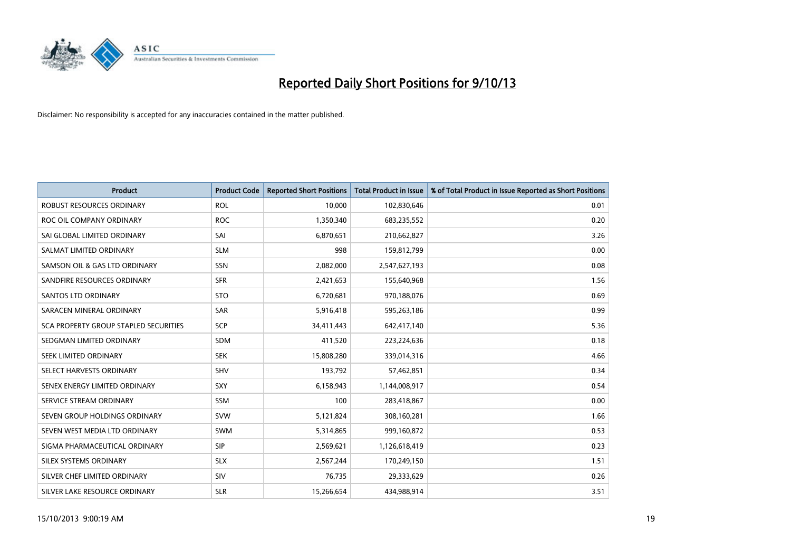

| <b>Product</b>                        | <b>Product Code</b> | <b>Reported Short Positions</b> | <b>Total Product in Issue</b> | % of Total Product in Issue Reported as Short Positions |
|---------------------------------------|---------------------|---------------------------------|-------------------------------|---------------------------------------------------------|
| <b>ROBUST RESOURCES ORDINARY</b>      | <b>ROL</b>          | 10,000                          | 102,830,646                   | 0.01                                                    |
| ROC OIL COMPANY ORDINARY              | <b>ROC</b>          | 1,350,340                       | 683,235,552                   | 0.20                                                    |
| SAI GLOBAL LIMITED ORDINARY           | SAI                 | 6,870,651                       | 210,662,827                   | 3.26                                                    |
| SALMAT LIMITED ORDINARY               | <b>SLM</b>          | 998                             | 159,812,799                   | 0.00                                                    |
| SAMSON OIL & GAS LTD ORDINARY         | SSN                 | 2,082,000                       | 2,547,627,193                 | 0.08                                                    |
| SANDFIRE RESOURCES ORDINARY           | <b>SFR</b>          | 2,421,653                       | 155,640,968                   | 1.56                                                    |
| SANTOS LTD ORDINARY                   | <b>STO</b>          | 6,720,681                       | 970,188,076                   | 0.69                                                    |
| SARACEN MINERAL ORDINARY              | SAR                 | 5,916,418                       | 595,263,186                   | 0.99                                                    |
| SCA PROPERTY GROUP STAPLED SECURITIES | <b>SCP</b>          | 34,411,443                      | 642,417,140                   | 5.36                                                    |
| SEDGMAN LIMITED ORDINARY              | <b>SDM</b>          | 411,520                         | 223,224,636                   | 0.18                                                    |
| SEEK LIMITED ORDINARY                 | <b>SEK</b>          | 15,808,280                      | 339,014,316                   | 4.66                                                    |
| SELECT HARVESTS ORDINARY              | SHV                 | 193,792                         | 57,462,851                    | 0.34                                                    |
| SENEX ENERGY LIMITED ORDINARY         | <b>SXY</b>          | 6,158,943                       | 1,144,008,917                 | 0.54                                                    |
| SERVICE STREAM ORDINARY               | <b>SSM</b>          | 100                             | 283,418,867                   | 0.00                                                    |
| SEVEN GROUP HOLDINGS ORDINARY         | <b>SVW</b>          | 5,121,824                       | 308,160,281                   | 1.66                                                    |
| SEVEN WEST MEDIA LTD ORDINARY         | SWM                 | 5,314,865                       | 999,160,872                   | 0.53                                                    |
| SIGMA PHARMACEUTICAL ORDINARY         | <b>SIP</b>          | 2,569,621                       | 1,126,618,419                 | 0.23                                                    |
| SILEX SYSTEMS ORDINARY                | <b>SLX</b>          | 2,567,244                       | 170,249,150                   | 1.51                                                    |
| SILVER CHEF LIMITED ORDINARY          | <b>SIV</b>          | 76,735                          | 29,333,629                    | 0.26                                                    |
| SILVER LAKE RESOURCE ORDINARY         | <b>SLR</b>          | 15,266,654                      | 434,988,914                   | 3.51                                                    |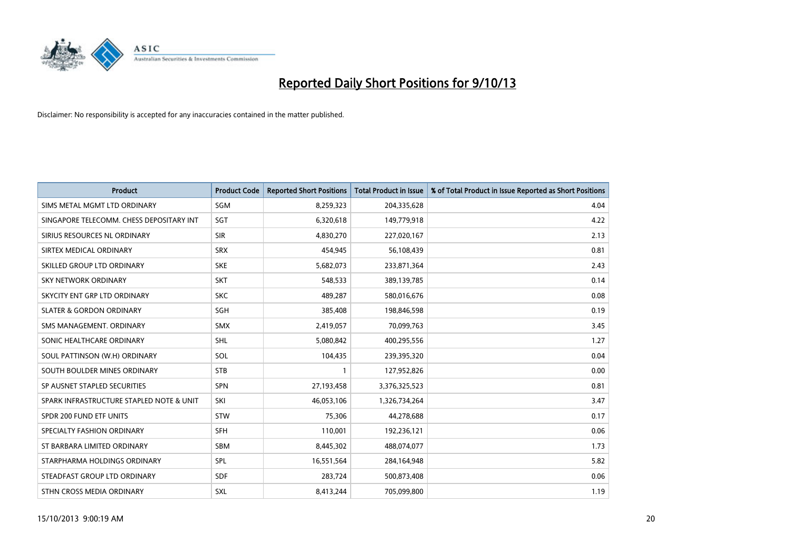

| <b>Product</b>                           | <b>Product Code</b> | <b>Reported Short Positions</b> | <b>Total Product in Issue</b> | % of Total Product in Issue Reported as Short Positions |
|------------------------------------------|---------------------|---------------------------------|-------------------------------|---------------------------------------------------------|
| SIMS METAL MGMT LTD ORDINARY             | SGM                 | 8,259,323                       | 204,335,628                   | 4.04                                                    |
| SINGAPORE TELECOMM. CHESS DEPOSITARY INT | <b>SGT</b>          | 6,320,618                       | 149,779,918                   | 4.22                                                    |
| SIRIUS RESOURCES NL ORDINARY             | <b>SIR</b>          | 4,830,270                       | 227,020,167                   | 2.13                                                    |
| SIRTEX MEDICAL ORDINARY                  | <b>SRX</b>          | 454,945                         | 56,108,439                    | 0.81                                                    |
| SKILLED GROUP LTD ORDINARY               | <b>SKE</b>          | 5,682,073                       | 233,871,364                   | 2.43                                                    |
| <b>SKY NETWORK ORDINARY</b>              | <b>SKT</b>          | 548,533                         | 389,139,785                   | 0.14                                                    |
| SKYCITY ENT GRP LTD ORDINARY             | <b>SKC</b>          | 489,287                         | 580,016,676                   | 0.08                                                    |
| <b>SLATER &amp; GORDON ORDINARY</b>      | SGH                 | 385,408                         | 198,846,598                   | 0.19                                                    |
| SMS MANAGEMENT, ORDINARY                 | <b>SMX</b>          | 2,419,057                       | 70,099,763                    | 3.45                                                    |
| SONIC HEALTHCARE ORDINARY                | <b>SHL</b>          | 5,080,842                       | 400,295,556                   | 1.27                                                    |
| SOUL PATTINSON (W.H) ORDINARY            | SOL                 | 104,435                         | 239,395,320                   | 0.04                                                    |
| SOUTH BOULDER MINES ORDINARY             | <b>STB</b>          | $\mathbf{1}$                    | 127,952,826                   | 0.00                                                    |
| SP AUSNET STAPLED SECURITIES             | SPN                 | 27,193,458                      | 3,376,325,523                 | 0.81                                                    |
| SPARK INFRASTRUCTURE STAPLED NOTE & UNIT | SKI                 | 46,053,106                      | 1,326,734,264                 | 3.47                                                    |
| SPDR 200 FUND ETF UNITS                  | <b>STW</b>          | 75,306                          | 44,278,688                    | 0.17                                                    |
| SPECIALTY FASHION ORDINARY               | <b>SFH</b>          | 110,001                         | 192,236,121                   | 0.06                                                    |
| ST BARBARA LIMITED ORDINARY              | SBM                 | 8,445,302                       | 488,074,077                   | 1.73                                                    |
| STARPHARMA HOLDINGS ORDINARY             | <b>SPL</b>          | 16,551,564                      | 284,164,948                   | 5.82                                                    |
| STEADFAST GROUP LTD ORDINARY             | <b>SDF</b>          | 283,724                         | 500,873,408                   | 0.06                                                    |
| STHN CROSS MEDIA ORDINARY                | SXL                 | 8,413,244                       | 705,099,800                   | 1.19                                                    |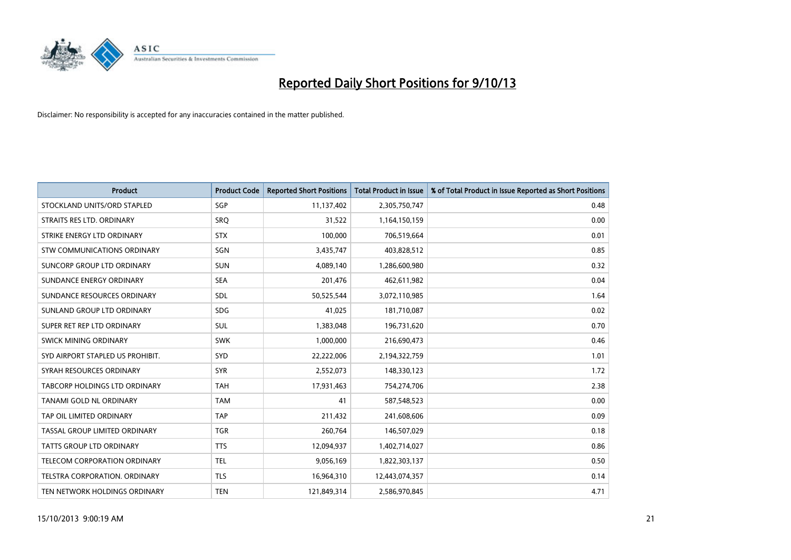

| <b>Product</b>                       | <b>Product Code</b> | <b>Reported Short Positions</b> | <b>Total Product in Issue</b> | % of Total Product in Issue Reported as Short Positions |
|--------------------------------------|---------------------|---------------------------------|-------------------------------|---------------------------------------------------------|
| STOCKLAND UNITS/ORD STAPLED          | SGP                 | 11,137,402                      | 2,305,750,747                 | 0.48                                                    |
| STRAITS RES LTD. ORDINARY            | <b>SRQ</b>          | 31,522                          | 1,164,150,159                 | 0.00                                                    |
| STRIKE ENERGY LTD ORDINARY           | <b>STX</b>          | 100,000                         | 706,519,664                   | 0.01                                                    |
| STW COMMUNICATIONS ORDINARY          | SGN                 | 3,435,747                       | 403,828,512                   | 0.85                                                    |
| <b>SUNCORP GROUP LTD ORDINARY</b>    | <b>SUN</b>          | 4,089,140                       | 1,286,600,980                 | 0.32                                                    |
| SUNDANCE ENERGY ORDINARY             | <b>SEA</b>          | 201,476                         | 462,611,982                   | 0.04                                                    |
| SUNDANCE RESOURCES ORDINARY          | SDL                 | 50,525,544                      | 3,072,110,985                 | 1.64                                                    |
| SUNLAND GROUP LTD ORDINARY           | <b>SDG</b>          | 41,025                          | 181,710,087                   | 0.02                                                    |
| SUPER RET REP LTD ORDINARY           | <b>SUL</b>          | 1,383,048                       | 196,731,620                   | 0.70                                                    |
| SWICK MINING ORDINARY                | <b>SWK</b>          | 1,000,000                       | 216,690,473                   | 0.46                                                    |
| SYD AIRPORT STAPLED US PROHIBIT.     | <b>SYD</b>          | 22,222,006                      | 2,194,322,759                 | 1.01                                                    |
| SYRAH RESOURCES ORDINARY             | <b>SYR</b>          | 2,552,073                       | 148,330,123                   | 1.72                                                    |
| <b>TABCORP HOLDINGS LTD ORDINARY</b> | <b>TAH</b>          | 17,931,463                      | 754,274,706                   | 2.38                                                    |
| TANAMI GOLD NL ORDINARY              | <b>TAM</b>          | 41                              | 587,548,523                   | 0.00                                                    |
| TAP OIL LIMITED ORDINARY             | <b>TAP</b>          | 211,432                         | 241,608,606                   | 0.09                                                    |
| TASSAL GROUP LIMITED ORDINARY        | <b>TGR</b>          | 260,764                         | 146,507,029                   | 0.18                                                    |
| <b>TATTS GROUP LTD ORDINARY</b>      | <b>TTS</b>          | 12,094,937                      | 1,402,714,027                 | 0.86                                                    |
| TELECOM CORPORATION ORDINARY         | <b>TEL</b>          | 9,056,169                       | 1,822,303,137                 | 0.50                                                    |
| TELSTRA CORPORATION, ORDINARY        | <b>TLS</b>          | 16,964,310                      | 12,443,074,357                | 0.14                                                    |
| TEN NETWORK HOLDINGS ORDINARY        | <b>TEN</b>          | 121,849,314                     | 2,586,970,845                 | 4.71                                                    |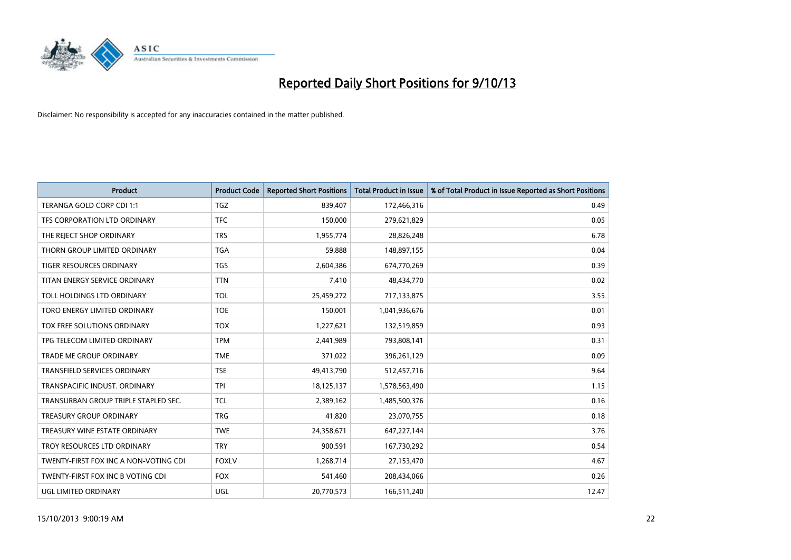

| <b>Product</b>                        | <b>Product Code</b> | <b>Reported Short Positions</b> | <b>Total Product in Issue</b> | % of Total Product in Issue Reported as Short Positions |
|---------------------------------------|---------------------|---------------------------------|-------------------------------|---------------------------------------------------------|
| TERANGA GOLD CORP CDI 1:1             | <b>TGZ</b>          | 839,407                         | 172,466,316                   | 0.49                                                    |
| TFS CORPORATION LTD ORDINARY          | <b>TFC</b>          | 150,000                         | 279,621,829                   | 0.05                                                    |
| THE REJECT SHOP ORDINARY              | <b>TRS</b>          | 1,955,774                       | 28,826,248                    | 6.78                                                    |
| THORN GROUP LIMITED ORDINARY          | <b>TGA</b>          | 59,888                          | 148,897,155                   | 0.04                                                    |
| <b>TIGER RESOURCES ORDINARY</b>       | <b>TGS</b>          | 2,604,386                       | 674,770,269                   | 0.39                                                    |
| TITAN ENERGY SERVICE ORDINARY         | <b>TTN</b>          | 7,410                           | 48,434,770                    | 0.02                                                    |
| TOLL HOLDINGS LTD ORDINARY            | <b>TOL</b>          | 25,459,272                      | 717,133,875                   | 3.55                                                    |
| TORO ENERGY LIMITED ORDINARY          | <b>TOE</b>          | 150,001                         | 1,041,936,676                 | 0.01                                                    |
| TOX FREE SOLUTIONS ORDINARY           | <b>TOX</b>          | 1,227,621                       | 132,519,859                   | 0.93                                                    |
| TPG TELECOM LIMITED ORDINARY          | <b>TPM</b>          | 2,441,989                       | 793,808,141                   | 0.31                                                    |
| TRADE ME GROUP ORDINARY               | <b>TME</b>          | 371,022                         | 396,261,129                   | 0.09                                                    |
| <b>TRANSFIELD SERVICES ORDINARY</b>   | <b>TSE</b>          | 49,413,790                      | 512,457,716                   | 9.64                                                    |
| TRANSPACIFIC INDUST, ORDINARY         | <b>TPI</b>          | 18,125,137                      | 1,578,563,490                 | 1.15                                                    |
| TRANSURBAN GROUP TRIPLE STAPLED SEC.  | TCL                 | 2,389,162                       | 1,485,500,376                 | 0.16                                                    |
| <b>TREASURY GROUP ORDINARY</b>        | <b>TRG</b>          | 41,820                          | 23,070,755                    | 0.18                                                    |
| TREASURY WINE ESTATE ORDINARY         | <b>TWE</b>          | 24,358,671                      | 647,227,144                   | 3.76                                                    |
| TROY RESOURCES LTD ORDINARY           | <b>TRY</b>          | 900,591                         | 167,730,292                   | 0.54                                                    |
| TWENTY-FIRST FOX INC A NON-VOTING CDI | <b>FOXLV</b>        | 1,268,714                       | 27,153,470                    | 4.67                                                    |
| TWENTY-FIRST FOX INC B VOTING CDI     | <b>FOX</b>          | 541,460                         | 208,434,066                   | 0.26                                                    |
| UGL LIMITED ORDINARY                  | UGL                 | 20,770,573                      | 166,511,240                   | 12.47                                                   |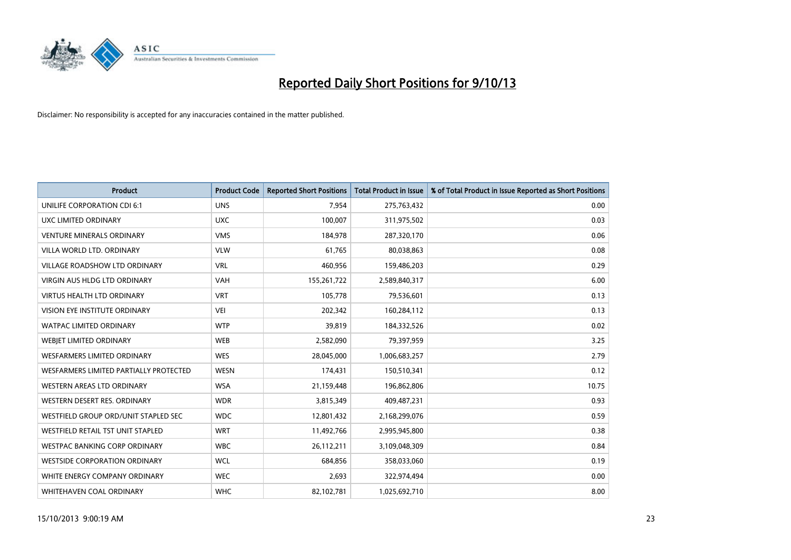

| <b>Product</b>                         | <b>Product Code</b> | <b>Reported Short Positions</b> | <b>Total Product in Issue</b> | % of Total Product in Issue Reported as Short Positions |
|----------------------------------------|---------------------|---------------------------------|-------------------------------|---------------------------------------------------------|
| UNILIFE CORPORATION CDI 6:1            | <b>UNS</b>          | 7,954                           | 275,763,432                   | 0.00                                                    |
| UXC LIMITED ORDINARY                   | <b>UXC</b>          | 100,007                         | 311,975,502                   | 0.03                                                    |
| <b>VENTURE MINERALS ORDINARY</b>       | <b>VMS</b>          | 184,978                         | 287,320,170                   | 0.06                                                    |
| VILLA WORLD LTD, ORDINARY              | <b>VLW</b>          | 61,765                          | 80,038,863                    | 0.08                                                    |
| <b>VILLAGE ROADSHOW LTD ORDINARY</b>   | <b>VRL</b>          | 460,956                         | 159,486,203                   | 0.29                                                    |
| <b>VIRGIN AUS HLDG LTD ORDINARY</b>    | VAH                 | 155,261,722                     | 2,589,840,317                 | 6.00                                                    |
| <b>VIRTUS HEALTH LTD ORDINARY</b>      | <b>VRT</b>          | 105,778                         | 79,536,601                    | 0.13                                                    |
| <b>VISION EYE INSTITUTE ORDINARY</b>   | <b>VEI</b>          | 202,342                         | 160,284,112                   | 0.13                                                    |
| <b>WATPAC LIMITED ORDINARY</b>         | <b>WTP</b>          | 39,819                          | 184,332,526                   | 0.02                                                    |
| WEBIET LIMITED ORDINARY                | <b>WEB</b>          | 2,582,090                       | 79,397,959                    | 3.25                                                    |
| WESFARMERS LIMITED ORDINARY            | <b>WES</b>          | 28,045,000                      | 1,006,683,257                 | 2.79                                                    |
| WESFARMERS LIMITED PARTIALLY PROTECTED | <b>WESN</b>         | 174,431                         | 150,510,341                   | 0.12                                                    |
| WESTERN AREAS LTD ORDINARY             | <b>WSA</b>          | 21,159,448                      | 196,862,806                   | 10.75                                                   |
| WESTERN DESERT RES. ORDINARY           | <b>WDR</b>          | 3,815,349                       | 409,487,231                   | 0.93                                                    |
| WESTFIELD GROUP ORD/UNIT STAPLED SEC   | <b>WDC</b>          | 12,801,432                      | 2,168,299,076                 | 0.59                                                    |
| WESTFIELD RETAIL TST UNIT STAPLED      | <b>WRT</b>          | 11,492,766                      | 2,995,945,800                 | 0.38                                                    |
| <b>WESTPAC BANKING CORP ORDINARY</b>   | <b>WBC</b>          | 26,112,211                      | 3,109,048,309                 | 0.84                                                    |
| <b>WESTSIDE CORPORATION ORDINARY</b>   | <b>WCL</b>          | 684,856                         | 358,033,060                   | 0.19                                                    |
| WHITE ENERGY COMPANY ORDINARY          | <b>WEC</b>          | 2,693                           | 322,974,494                   | 0.00                                                    |
| WHITEHAVEN COAL ORDINARY               | <b>WHC</b>          | 82,102,781                      | 1,025,692,710                 | 8.00                                                    |